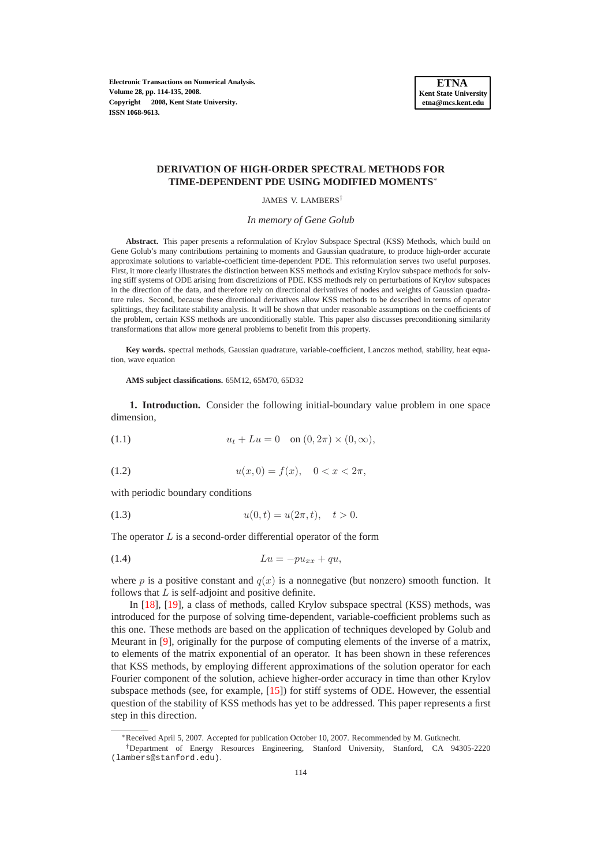**Electronic Transactions on Numerical Analysis. Volume 28, pp. 114-135, 2008. Copyright 2008, Kent State University. ISSN 1068-9613.**



## **DERIVATION OF HIGH-ORDER SPECTRAL METHODS FOR TIME-DEPENDENT PDE USING MODIFIED MOMENTS**∗

JAMES V. LAMBERS†

*In memory of Gene Golub*

**Abstract.** This paper presents a reformulation of Krylov Subspace Spectral (KSS) Methods, which build on Gene Golub's many contributions pertaining to moments and Gaussian quadrature, to produce high-order accurate approximate solutions to variable-coefficient time-dependent PDE. This reformulation serves two useful purposes. First, it more clearly illustrates the distinction between KSS methods and existing Krylov subspace methods for solving stiff systems of ODE arising from discretizions of PDE. KSS methods rely on perturbations of Krylov subspaces in the direction of the data, and therefore rely on directional derivatives of nodes and weights of Gaussian quadrature rules. Second, because these directional derivatives allow KSS methods to be described in terms of operator splittings, they facilitate stability analysis. It will be shown that under reasonable assumptions on the coefficients of the problem, certain KSS methods are unconditionally stable. This paper also discusses preconditioning similarity transformations that allow more general problems to benefit from this property.

**Key words.** spectral methods, Gaussian quadrature, variable-coefficient, Lanczos method, stability, heat equation, wave equation

**AMS subject classifications.** 65M12, 65M70, 65D32

**1. Introduction.** Consider the following initial-boundary value problem in one space dimension,

<span id="page-0-0"></span>(1.1) 
$$
u_t + Lu = 0
$$
 on  $(0, 2\pi) \times (0, \infty)$ ,

<span id="page-0-1"></span>(1.2) 
$$
u(x,0) = f(x), \quad 0 < x < 2\pi,
$$

with periodic boundary conditions

<span id="page-0-2"></span>(1.3) 
$$
u(0,t) = u(2\pi, t), \quad t > 0.
$$

The operator  $L$  is a second-order differential operator of the form

<span id="page-0-3"></span>
$$
(1.4) \t\t\t Lu = -pu_{xx} + qu,
$$

where p is a positive constant and  $q(x)$  is a nonnegative (but nonzero) smooth function. It follows that  $L$  is self-adjoint and positive definite.

In [\[18\]](#page-21-0), [\[19\]](#page-21-1), a class of methods, called Krylov subspace spectral (KSS) methods, was introduced for the purpose of solving time-dependent, variable-coefficient problems such as this one. These methods are based on the application of techniques developed by Golub and Meurant in [\[9\]](#page-21-2), originally for the purpose of computing elements of the inverse of a matrix, to elements of the matrix exponential of an operator. It has been shown in these references that KSS methods, by employing different approximations of the solution operator for each Fourier component of the solution, achieve higher-order accuracy in time than other Krylov subspace methods (see, for example, [\[15\]](#page-21-3)) for stiff systems of ODE. However, the essential question of the stability of KSS methods has yet to be addressed. This paper represents a first step in this direction.

<sup>∗</sup>Received April 5, 2007. Accepted for publication October 10, 2007. Recommended by M. Gutknecht.

<sup>†</sup>Department of Energy Resources Engineering, Stanford University, Stanford, CA 94305-2220 (lambers@stanford.edu).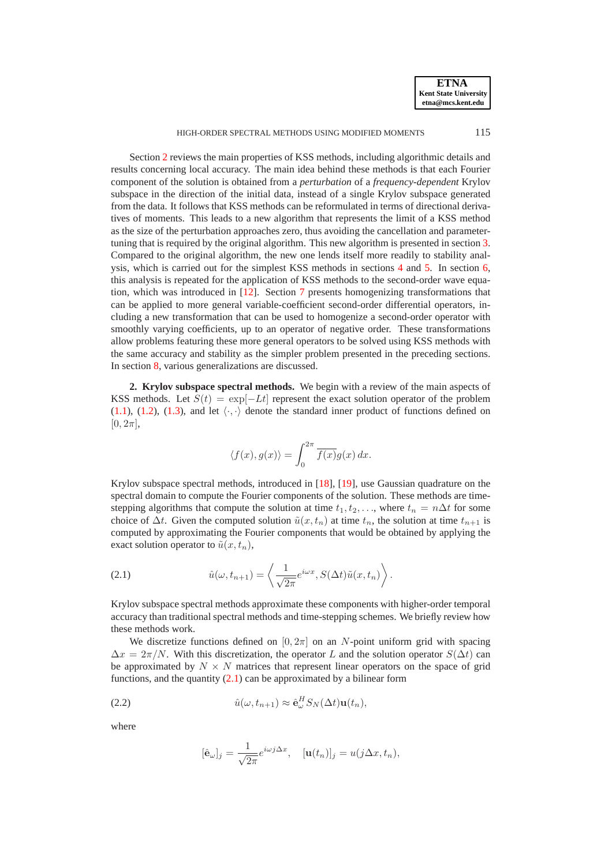HIGH-ORDER SPECTRAL METHODS USING MODIFIED MOMENTS 115

Section [2](#page-1-0) reviews the main properties of KSS methods, including algorithmic details and results concerning local accuracy. The main idea behind these methods is that each Fourier component of the solution is obtained from a *perturbation* of a *frequency-dependent* Krylov subspace in the direction of the initial data, instead of a single Krylov subspace generated from the data. It follows that KSS methods can be reformulated in terms of directional derivatives of moments. This leads to a new algorithm that represents the limit of a KSS method as the size of the perturbation approaches zero, thus avoiding the cancellation and parametertuning that is required by the original algorithm. This new algorithm is presented in section [3.](#page-4-0) Compared to the original algorithm, the new one lends itself more readily to stability analysis, which is carried out for the simplest KSS methods in sections [4](#page-8-0) and [5.](#page-10-0) In section [6,](#page-12-0) this analysis is repeated for the application of KSS methods to the second-order wave equation, which was introduced in [\[12\]](#page-21-4). Section [7](#page-16-0) presents homogenizing transformations that can be applied to more general variable-coefficient second-order differential operators, including a new transformation that can be used to homogenize a second-order operator with smoothly varying coefficients, up to an operator of negative order. These transformations allow problems featuring these more general operators to be solved using KSS methods with the same accuracy and stability as the simpler problem presented in the preceding sections. In section [8,](#page-20-0) various generalizations are discussed.

<span id="page-1-0"></span>**2. Krylov subspace spectral methods.** We begin with a review of the main aspects of KSS methods. Let  $S(t) = \exp[-Lt]$  represent the exact solution operator of the problem [\(1.1\)](#page-0-0), [\(1.2\)](#page-0-1), [\(1.3\)](#page-0-2), and let  $\langle \cdot, \cdot \rangle$  denote the standard inner product of functions defined on  $[0, 2\pi]$ ,

$$
\langle f(x), g(x) \rangle = \int_0^{2\pi} \overline{f(x)} g(x) dx.
$$

Krylov subspace spectral methods, introduced in [\[18\]](#page-21-0), [\[19\]](#page-21-1), use Gaussian quadrature on the spectral domain to compute the Fourier components of the solution. These methods are timestepping algorithms that compute the solution at time  $t_1, t_2, \ldots$ , where  $t_n = n\Delta t$  for some choice of  $\Delta t$ . Given the computed solution  $\tilde{u}(x, t_n)$  at time  $t_n$ , the solution at time  $t_{n+1}$  is computed by approximating the Fourier components that would be obtained by applying the exact solution operator to  $\tilde{u}(x, t_n)$ ,

<span id="page-1-1"></span>(2.1) 
$$
\hat{u}(\omega, t_{n+1}) = \left\langle \frac{1}{\sqrt{2\pi}} e^{i\omega x}, S(\Delta t) \tilde{u}(x, t_n) \right\rangle.
$$

Krylov subspace spectral methods approximate these components with higher-order temporal accuracy than traditional spectral methods and time-stepping schemes. We briefly review how these methods work.

We discretize functions defined on  $[0, 2\pi]$  on an N-point uniform grid with spacing  $\Delta x = 2\pi/N$ . With this discretization, the operator L and the solution operator  $S(\Delta t)$  can be approximated by  $N \times N$  matrices that represent linear operators on the space of grid functions, and the quantity  $(2.1)$  can be approximated by a bilinear form

<span id="page-1-2"></span>(2.2) 
$$
\hat{u}(\omega, t_{n+1}) \approx \hat{\mathbf{e}}_{\omega}^H S_N(\Delta t) \mathbf{u}(t_n),
$$

where

$$
[\hat{\mathbf{e}}_{\omega}]_j = \frac{1}{\sqrt{2\pi}} e^{i\omega j \Delta x}, \quad [\mathbf{u}(t_n)]_j = u(j\Delta x, t_n),
$$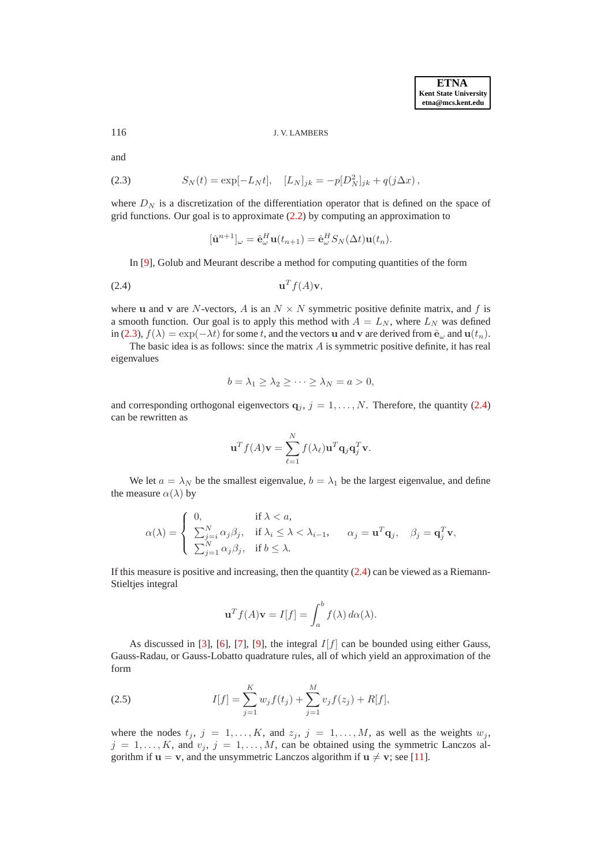116 J. V. LAMBERS

and

<span id="page-2-0"></span>(2.3) 
$$
S_N(t) = \exp[-L_N t], \quad [L_N]_{jk} = -p[D_N^2]_{jk} + q(j\Delta x),
$$

where  $D_N$  is a discretization of the differentiation operator that is defined on the space of grid functions. Our goal is to approximate [\(2.2\)](#page-1-2) by computing an approximation to

<span id="page-2-1"></span>
$$
[\hat{\mathbf{u}}^{n+1}]_{\omega} = \hat{\mathbf{e}}_{\omega}^H \mathbf{u}(t_{n+1}) = \hat{\mathbf{e}}_{\omega}^H S_N(\Delta t) \mathbf{u}(t_n).
$$

In [\[9\]](#page-21-2), Golub and Meurant describe a method for computing quantities of the form

$$
\mathbf{u}^T f(A) \mathbf{v},
$$

where u and v are N-vectors, A is an  $N \times N$  symmetric positive definite matrix, and f is a smooth function. Our goal is to apply this method with  $A = L_N$ , where  $L_N$  was defined in [\(2.3\)](#page-2-0),  $f(\lambda) = \exp(-\lambda t)$  for some t, and the vectors u and v are derived from  $\hat{\mathbf{e}}_{\omega}$  and  $\mathbf{u}(t_n)$ .

The basic idea is as follows: since the matrix  $A$  is symmetric positive definite, it has real eigenvalues

$$
b = \lambda_1 \ge \lambda_2 \ge \cdots \ge \lambda_N = a > 0,
$$

and corresponding orthogonal eigenvectors  $q_j$ ,  $j = 1, ..., N$ . Therefore, the quantity [\(2.4\)](#page-2-1) can be rewritten as

$$
\mathbf{u}^T f(A) \mathbf{v} = \sum_{\ell=1}^N f(\lambda_\ell) \mathbf{u}^T \mathbf{q}_j \mathbf{q}_j^T \mathbf{v}.
$$

We let  $a = \lambda_N$  be the smallest eigenvalue,  $b = \lambda_1$  be the largest eigenvalue, and define the measure  $\alpha(\lambda)$  by

$$
\alpha(\lambda) = \begin{cases}\n0, & \text{if } \lambda < a, \\
\sum_{j=i}^{N} \alpha_j \beta_j, & \text{if } \lambda_i \leq \lambda < \lambda_{i-1}, \quad \alpha_j = \mathbf{u}^T \mathbf{q}_j, \quad \beta_j = \mathbf{q}_j^T \mathbf{v}, \\
\sum_{j=1}^{N} \alpha_j \beta_j, & \text{if } b \leq \lambda.\n\end{cases}
$$

If this measure is positive and increasing, then the quantity  $(2.4)$  can be viewed as a Riemann-Stieltjes integral

$$
\mathbf{u}^T f(A)\mathbf{v} = I[f] = \int_a^b f(\lambda) \, d\alpha(\lambda).
$$

As discussed in [\[3\]](#page-21-5), [\[6\]](#page-21-6), [\[7\]](#page-21-7), [\[9\]](#page-21-2), the integral  $I[f]$  can be bounded using either Gauss, Gauss-Radau, or Gauss-Lobatto quadrature rules, all of which yield an approximation of the form

<span id="page-2-2"></span>(2.5) 
$$
I[f] = \sum_{j=1}^{K} w_j f(t_j) + \sum_{j=1}^{M} v_j f(z_j) + R[f],
$$

where the nodes  $t_j$ ,  $j = 1, ..., K$ , and  $z_j$ ,  $j = 1, ..., M$ , as well as the weights  $w_j$ ,  $j = 1, \ldots, K$ , and  $v_j$ ,  $j = 1, \ldots, M$ , can be obtained using the symmetric Lanczos algorithm if  $u = v$ , and the unsymmetric Lanczos algorithm if  $u \neq v$ ; see [\[11\]](#page-21-8).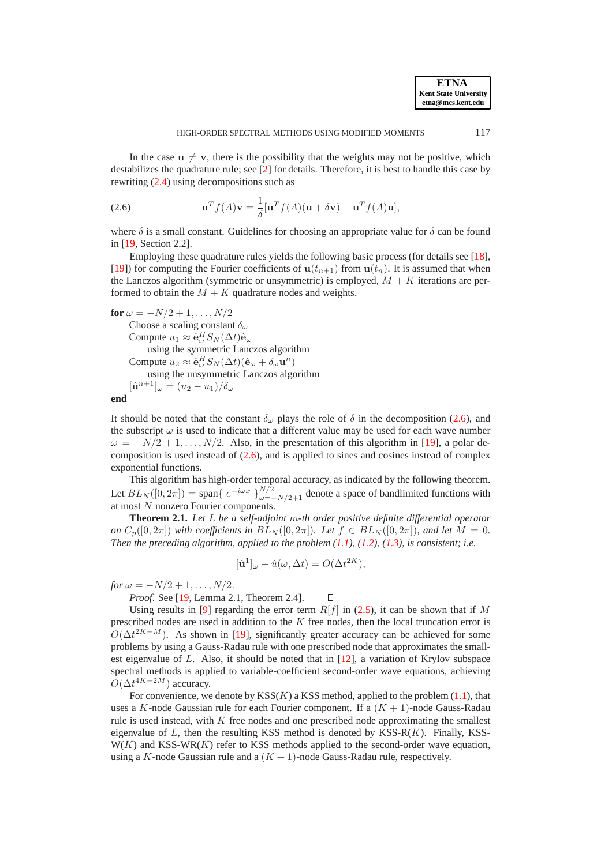In the case  $u \neq v$ , there is the possibility that the weights may not be positive, which destabilizes the quadrature rule; see [\[2\]](#page-21-9) for details. Therefore, it is best to handle this case by rewriting [\(2.4\)](#page-2-1) using decompositions such as

<span id="page-3-0"></span>(2.6) 
$$
\mathbf{u}^T f(A)\mathbf{v} = \frac{1}{\delta}[\mathbf{u}^T f(A)(\mathbf{u} + \delta \mathbf{v}) - \mathbf{u}^T f(A)\mathbf{u}],
$$

where  $\delta$  is a small constant. Guidelines for choosing an appropriate value for  $\delta$  can be found in [\[19,](#page-21-1) Section 2.2].

Employing these quadrature rules yields the following basic process (for details see [\[18\]](#page-21-0), [\[19\]](#page-21-1)) for computing the Fourier coefficients of  $u(t_{n+1})$  from  $u(t_n)$ . It is assumed that when the Lanczos algorithm (symmetric or unsymmetric) is employed,  $M + K$  iterations are performed to obtain the  $M + K$  quadrature nodes and weights.

**for**  $\omega = -N/2 + 1, \ldots, N/2$ Choose a scaling constant  $\delta_{\omega}$ Compute  $u_1 \approx \hat{\mathbf{e}}_{\omega}^H S_N(\Delta t) \hat{\mathbf{e}}_{\omega}$ using the symmetric Lanczos algorithm Compute  $u_2 \approx \hat{\mathbf{e}}_{\omega}^H S_N(\Delta t)(\hat{\mathbf{e}}_{\omega} + \delta_{\omega} \mathbf{u}^n)$ using the unsymmetric Lanczos algorithm  $[\hat{\mathbf{u}}^{n+1}]_{\omega} = (u_2 - u_1)/\delta_{\omega}$ 

**end**

It should be noted that the constant  $\delta_{\omega}$  plays the role of  $\delta$  in the decomposition [\(2.6\)](#page-3-0), and the subscript  $\omega$  is used to indicate that a different value may be used for each wave number  $\omega = -N/2 + 1, \ldots, N/2$ . Also, in the presentation of this algorithm in [\[19\]](#page-21-1), a polar decomposition is used instead of  $(2.6)$ , and is applied to sines and cosines instead of complex exponential functions.

This algorithm has high-order temporal accuracy, as indicated by the following theorem. Let  $BL_N([0, 2\pi]) =$  span $\{e^{-i\omega x}\}_{\omega = -N/2+1}^{N/2}$  denote a space of bandlimited functions with at most N nonzero Fourier components.

**Theorem 2.1.** *Let* L *be a self-adjoint* m*-th order positive definite differential operator on*  $C_p([0, 2\pi])$  *with coefficients in*  $BL_N([0, 2\pi])$ *. Let*  $f \in BL_N([0, 2\pi])$ *, and let*  $M = 0$ *. Then the preceding algorithm, applied to the problem [\(1.1\)](#page-0-0), [\(1.2\)](#page-0-1), [\(1.3\)](#page-0-2), is consistent; i.e.*

$$
[\hat{\mathbf{u}}^1]_{\omega} - \hat{u}(\omega, \Delta t) = O(\Delta t^{2K}),
$$

*for*  $\omega = -N/2 + 1, \ldots, N/2$ .

*Proof*. See [\[19,](#page-21-1) Lemma 2.1, Theorem 2.4].  $\Box$ 

Using results in [\[9\]](#page-21-2) regarding the error term  $R[f]$  in [\(2.5\)](#page-2-2), it can be shown that if M prescribed nodes are used in addition to the K free nodes, then the local truncation error is  $O(\Delta t^{2K+M})$ . As shown in [\[19\]](#page-21-1), significantly greater accuracy can be achieved for some problems by using a Gauss-Radau rule with one prescribed node that approximates the smallest eigenvalue of L. Also, it should be noted that in [\[12\]](#page-21-4), a variation of Krylov subspace spectral methods is applied to variable-coefficient second-order wave equations, achieving  $O(\Delta t^{4K+2M})$  accuracy.

For convenience, we denote by  $KSS(K)$  a KSS method, applied to the problem [\(1.1\)](#page-0-0), that uses a K-node Gaussian rule for each Fourier component. If a  $(K + 1)$ -node Gauss-Radau rule is used instead, with  $K$  free nodes and one prescribed node approximating the smallest eigenvalue of  $L$ , then the resulting KSS method is denoted by KSS-R $(K)$ . Finally, KSS- $W(K)$  and KSS-WR(K) refer to KSS methods applied to the second-order wave equation, using a K-node Gaussian rule and a  $(K + 1)$ -node Gauss-Radau rule, respectively.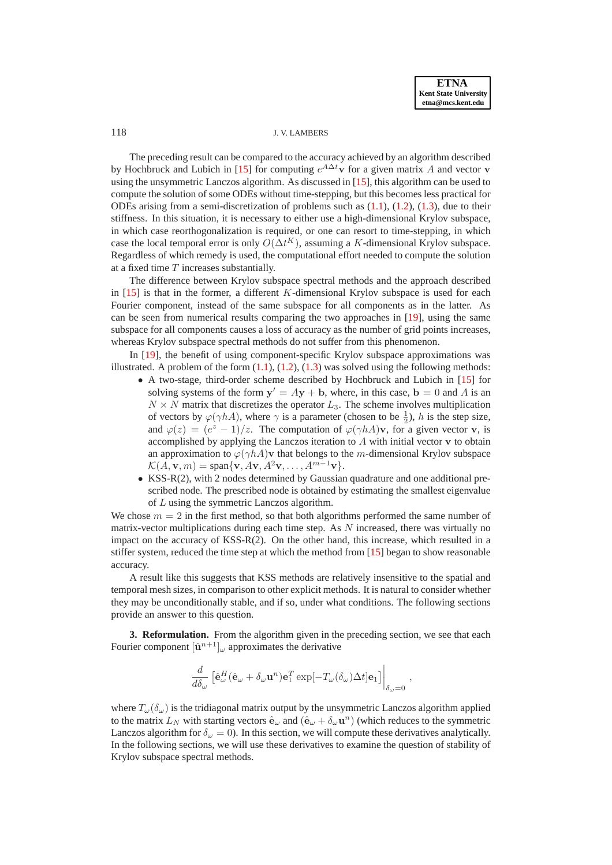### 118 J. V. LAMBERS

The preceding result can be compared to the accuracy achieved by an algorithm described by Hochbruck and Lubich in [\[15\]](#page-21-3) for computing  $e^{A\Delta t}$  v for a given matrix A and vector v using the unsymmetric Lanczos algorithm. As discussed in [\[15\]](#page-21-3), this algorithm can be used to compute the solution of some ODEs without time-stepping, but this becomes less practical for ODEs arising from a semi-discretization of problems such as  $(1.1)$ ,  $(1.2)$ ,  $(1.3)$ , due to their stiffness. In this situation, it is necessary to either use a high-dimensional Krylov subspace, in which case reorthogonalization is required, or one can resort to time-stepping, in which case the local temporal error is only  $O(\Delta t^K)$ , assuming a K-dimensional Krylov subspace. Regardless of which remedy is used, the computational effort needed to compute the solution at a fixed time T increases substantially.

The difference between Krylov subspace spectral methods and the approach described in [\[15\]](#page-21-3) is that in the former, a different K-dimensional Krylov subspace is used for each Fourier component, instead of the same subspace for all components as in the latter. As can be seen from numerical results comparing the two approaches in [\[19\]](#page-21-1), using the same subspace for all components causes a loss of accuracy as the number of grid points increases, whereas Krylov subspace spectral methods do not suffer from this phenomenon.

In [\[19\]](#page-21-1), the benefit of using component-specific Krylov subspace approximations was illustrated. A problem of the form  $(1.1)$ ,  $(1.2)$ ,  $(1.3)$  was solved using the following methods:

- A two-stage, third-order scheme described by Hochbruck and Lubich in [\[15\]](#page-21-3) for solving systems of the form  $y' = Ay + b$ , where, in this case,  $b = 0$  and A is an  $N \times N$  matrix that discretizes the operator  $L_3$ . The scheme involves multiplication of vectors by  $\varphi(\gamma hA)$ , where  $\gamma$  is a parameter (chosen to be  $\frac{1}{2}$ ), h is the step size, and  $\varphi(z) = (e^z - 1)/z$ . The computation of  $\varphi(\gamma h A)$ v, for a given vector v, is accomplished by applying the Lanczos iteration to  $A$  with initial vector  $\bf{v}$  to obtain an approximation to  $\varphi(\gamma h A)$ v that belongs to the m-dimensional Krylov subspace  $\mathcal{K}(A, \mathbf{v}, m) = \text{span}\{\mathbf{v}, A\mathbf{v}, A^2\mathbf{v}, \dots, A^{m-1}\mathbf{v}\}.$
- KSS-R(2), with 2 nodes determined by Gaussian quadrature and one additional prescribed node. The prescribed node is obtained by estimating the smallest eigenvalue of L using the symmetric Lanczos algorithm.

We chose  $m = 2$  in the first method, so that both algorithms performed the same number of matrix-vector multiplications during each time step. As  $N$  increased, there was virtually no impact on the accuracy of KSS-R(2). On the other hand, this increase, which resulted in a stiffer system, reduced the time step at which the method from [\[15\]](#page-21-3) began to show reasonable accuracy.

A result like this suggests that KSS methods are relatively insensitive to the spatial and temporal mesh sizes, in comparison to other explicit methods. It is natural to consider whether they may be unconditionally stable, and if so, under what conditions. The following sections provide an answer to this question.

<span id="page-4-0"></span>**3. Reformulation.** From the algorithm given in the preceding section, we see that each Fourier component  $[\hat{\mathbf{u}}^{n+1}]_{\omega}$  approximates the derivative

$$
\frac{d}{d\delta_{\omega}}\left[\hat{\mathbf{e}}_{\omega}^H(\hat{\mathbf{e}}_{\omega}+\delta_{\omega}\mathbf{u}^n)\mathbf{e}_1^T\exp[-T_{\omega}(\delta_{\omega})\Delta t]\mathbf{e}_1\right]\bigg|_{\delta_{\omega}=0},\,
$$

where  $T_{\omega}(\delta_{\omega})$  is the tridiagonal matrix output by the unsymmetric Lanczos algorithm applied to the matrix  $L_N$  with starting vectors  $\hat{\mathbf{e}}_\omega$  and  $(\hat{\mathbf{e}}_\omega + \delta_\omega \mathbf{u}^n)$  (which reduces to the symmetric Lanczos algorithm for  $\delta_{\omega} = 0$ ). In this section, we will compute these derivatives analytically. In the following sections, we will use these derivatives to examine the question of stability of Krylov subspace spectral methods.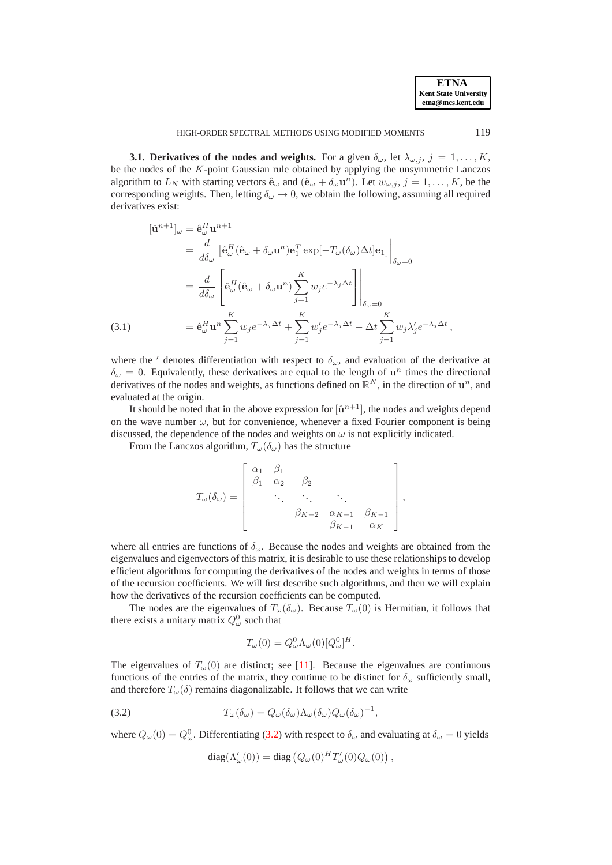<span id="page-5-1"></span>**3.1. Derivatives of the nodes and weights.** For a given  $\delta_{\omega}$ , let  $\lambda_{\omega,i}$ ,  $j = 1, \ldots, K$ , be the nodes of the K-point Gaussian rule obtained by applying the unsymmetric Lanczos algorithm to  $L_N$  with starting vectors  $\hat{\mathbf{e}}_{\omega}$  and  $(\hat{\mathbf{e}}_{\omega} + \delta_{\omega} \mathbf{u}^n)$ . Let  $w_{\omega,j}$ ,  $j = 1, \ldots, K$ , be the corresponding weights. Then, letting  $\delta_{\omega} \to 0$ , we obtain the following, assuming all required derivatives exist:

<span id="page-5-2"></span>(3.1)  
\n
$$
\begin{aligned}\n[\hat{\mathbf{u}}^{n+1}]_{\omega} &= \hat{\mathbf{e}}_{\omega}^{H} \mathbf{u}^{n+1} \\
&= \frac{d}{d\delta_{\omega}} \left[ \hat{\mathbf{e}}_{\omega}^{H} (\hat{\mathbf{e}}_{\omega} + \delta_{\omega} \mathbf{u}^{n}) \mathbf{e}_{1}^{T} \exp[-T_{\omega} (\delta_{\omega}) \Delta t] \mathbf{e}_{1} \right] \Big|_{\delta_{\omega} = 0} \\
&= \frac{d}{d\delta_{\omega}} \left[ \hat{\mathbf{e}}_{\omega}^{H} (\hat{\mathbf{e}}_{\omega} + \delta_{\omega} \mathbf{u}^{n}) \sum_{j=1}^{K} w_{j} e^{-\lambda_{j} \Delta t} \right] \Big|_{\delta_{\omega} = 0} \\
&= \hat{\mathbf{e}}_{\omega}^{H} \mathbf{u}^{n} \sum_{j=1}^{K} w_{j} e^{-\lambda_{j} \Delta t} + \sum_{j=1}^{K} w_{j}^{\prime} e^{-\lambda_{j} \Delta t} - \Delta t \sum_{j=1}^{K} w_{j} \lambda_{j}^{\prime} e^{-\lambda_{j} \Delta t},\n\end{aligned}
$$

where the ' denotes differentiation with respect to  $\delta_{\omega}$ , and evaluation of the derivative at  $\delta_{\omega} = 0$ . Equivalently, these derivatives are equal to the length of  $\mathbf{u}^{n}$  times the directional derivatives of the nodes and weights, as functions defined on  $\mathbb{R}^N$ , in the direction of  $\mathbf{u}^n$ , and evaluated at the origin.

It should be noted that in the above expression for  $[\hat{u}^{n+1}]$ , the nodes and weights depend on the wave number  $\omega$ , but for convenience, whenever a fixed Fourier component is being discussed, the dependence of the nodes and weights on  $\omega$  is not explicitly indicated.

From the Lanczos algorithm,  $T_{\omega}(\delta_{\omega})$  has the structure

$$
T_{\omega}(\delta_{\omega}) = \begin{bmatrix} \alpha_1 & \beta_1 & & & \\ \beta_1 & \alpha_2 & \beta_2 & & \\ & \ddots & \ddots & \ddots & \\ & & \beta_{K-2} & \alpha_{K-1} & \beta_{K-1} \\ & & & \beta_{K-1} & \alpha_K \end{bmatrix},
$$

where all entries are functions of  $\delta_{\omega}$ . Because the nodes and weights are obtained from the eigenvalues and eigenvectors of this matrix, it is desirable to use these relationships to develop efficient algorithms for computing the derivatives of the nodes and weights in terms of those of the recursion coefficients. We will first describe such algorithms, and then we will explain how the derivatives of the recursion coefficients can be computed.

The nodes are the eigenvalues of  $T_{\omega}(\delta_{\omega})$ . Because  $T_{\omega}(0)$  is Hermitian, it follows that there exists a unitary matrix  $Q^0_\omega$  such that

$$
T_{\omega}(0) = Q_{\omega}^{0} \Lambda_{\omega}(0) [Q_{\omega}^{0}]^{H}.
$$

The eigenvalues of  $T_{\omega}(0)$  are distinct; see [\[11\]](#page-21-8). Because the eigenvalues are continuous functions of the entries of the matrix, they continue to be distinct for  $\delta_{\omega}$  sufficiently small, and therefore  $T_{\omega}(\delta)$  remains diagonalizable. It follows that we can write

<span id="page-5-0"></span>(3.2) 
$$
T_{\omega}(\delta_{\omega}) = Q_{\omega}(\delta_{\omega})\Lambda_{\omega}(\delta_{\omega})Q_{\omega}(\delta_{\omega})^{-1},
$$

where  $Q_{\omega}(0) = Q_{\omega}^0$ . Differentiating [\(3.2\)](#page-5-0) with respect to  $\delta_{\omega}$  and evaluating at  $\delta_{\omega} = 0$  yields

diag
$$
(\Lambda'_{\omega}(0))
$$
 = diag  $(Q_{\omega}(0)^H T'_{\omega}(0) Q_{\omega}(0))$ ,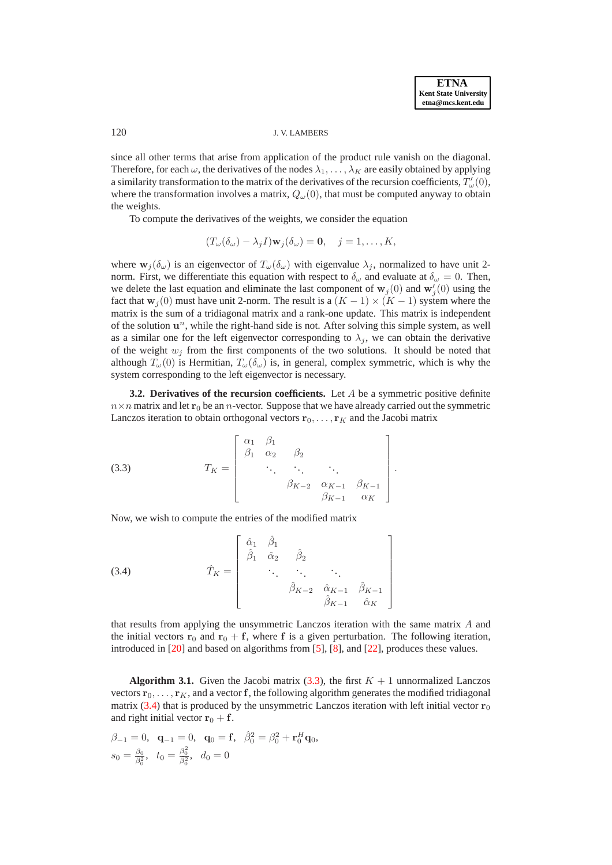### 120 J. V. LAMBERS

since all other terms that arise from application of the product rule vanish on the diagonal. Therefore, for each  $\omega$ , the derivatives of the nodes  $\lambda_1, \dots, \lambda_K$  are easily obtained by applying a similarity transformation to the matrix of the derivatives of the recursion coefficients,  $T'_{\omega}(0)$ , where the transformation involves a matrix,  $Q_{\omega}(0)$ , that must be computed anyway to obtain the weights.

To compute the derivatives of the weights, we consider the equation

$$
(T_{\omega}(\delta_{\omega}) - \lambda_j I)\mathbf{w}_j(\delta_{\omega}) = \mathbf{0}, \quad j = 1, \dots, K,
$$

where  $\mathbf{w}_i(\delta_\omega)$  is an eigenvector of  $T_\omega(\delta_\omega)$  with eigenvalue  $\lambda_i$ , normalized to have unit 2norm. First, we differentiate this equation with respect to  $\delta_{\omega}$  and evaluate at  $\delta_{\omega} = 0$ . Then, we delete the last equation and eliminate the last component of  $w_j(0)$  and  $w'_j(0)$  using the fact that  $w_i(0)$  must have unit 2-norm. The result is a  $(K-1) \times (K-1)$  system where the matrix is the sum of a tridiagonal matrix and a rank-one update. This matrix is independent of the solution  $\mathbf{u}^n$ , while the right-hand side is not. After solving this simple system, as well as a similar one for the left eigenvector corresponding to  $\lambda_i$ , we can obtain the derivative of the weight  $w_j$  from the first components of the two solutions. It should be noted that although  $T_{\omega}(0)$  is Hermitian,  $T_{\omega}(\delta_{\omega})$  is, in general, complex symmetric, which is why the system corresponding to the left eigenvector is necessary.

**3.2. Derivatives of the recursion coefficients.** Let A be a symmetric positive definite  $n \times n$  matrix and let  $r_0$  be an *n*-vector. Suppose that we have already carried out the symmetric Lanczos iteration to obtain orthogonal vectors  $r_0, \ldots, r_K$  and the Jacobi matrix

<span id="page-6-0"></span>(3.3) 
$$
T_{K} = \begin{bmatrix} \alpha_{1} & \beta_{1} & & & \\ \beta_{1} & \alpha_{2} & \beta_{2} & & \\ & \ddots & \ddots & \ddots & \\ & & \beta_{K-2} & \alpha_{K-1} & \beta_{K-1} \\ & & & \beta_{K-1} & \alpha_{K} \end{bmatrix}.
$$

Now, we wish to compute the entries of the modified matrix

<span id="page-6-1"></span>(3.4) 
$$
\hat{T}_{K} = \begin{bmatrix} \hat{\alpha}_{1} & \hat{\beta}_{1} & & & \\ \hat{\beta}_{1} & \hat{\alpha}_{2} & \hat{\beta}_{2} & & \\ & \ddots & \ddots & \ddots & \\ & & \hat{\beta}_{K-2} & \hat{\alpha}_{K-1} & \hat{\beta}_{K-1} \\ & & & \hat{\beta}_{K-1} & \hat{\alpha}_{K} \end{bmatrix}
$$

that results from applying the unsymmetric Lanczos iteration with the same matrix A and the initial vectors  $r_0$  and  $r_0 + f$ , where f is a given perturbation. The following iteration, introduced in [\[20\]](#page-21-10) and based on algorithms from [\[5\]](#page-21-11), [\[8\]](#page-21-12), and [\[22\]](#page-21-13), produces these values.

<span id="page-6-2"></span>**Algorithm 3.1.** Given the Jacobi matrix  $(3.3)$ , the first  $K + 1$  unnormalized Lanczos vectors  ${\bf r}_0, \ldots, {\bf r}_K$ , and a vector f, the following algorithm generates the modified tridiagonal matrix [\(3.4\)](#page-6-1) that is produced by the unsymmetric Lanczos iteration with left initial vector  $\mathbf{r}_0$ and right initial vector  $r_0 + f$ .

$$
\beta_{-1} = 0, \quad \mathbf{q}_{-1} = 0, \quad \mathbf{q}_0 = \mathbf{f}, \quad \hat{\beta}_0^2 = \beta_0^2 + \mathbf{r}_0^H \mathbf{q}_0, s_0 = \frac{\beta_0}{\hat{\beta}_0^2}, \quad t_0 = \frac{\beta_0^2}{\hat{\beta}_0^2}, \quad d_0 = 0
$$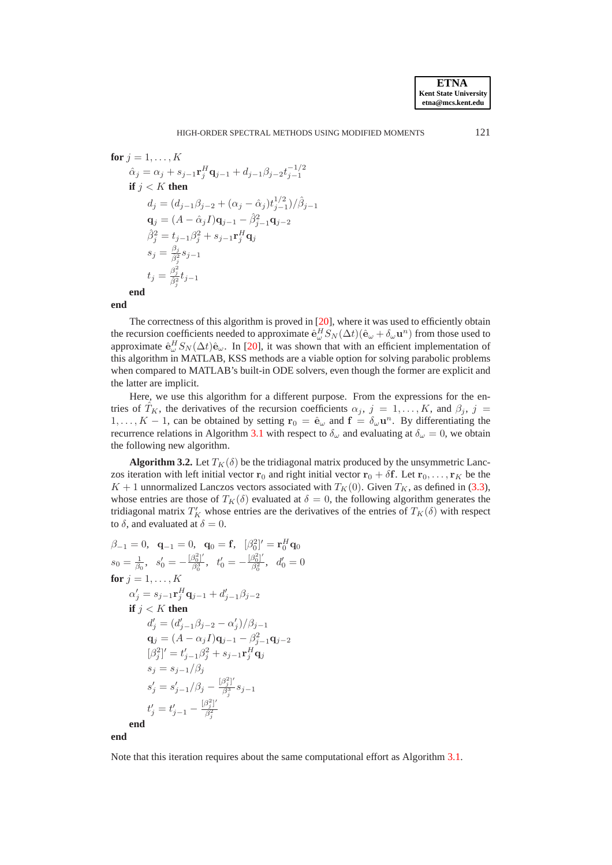$$
\begin{aligned}\n\text{for } j &= 1, \dots, K \\
\hat{\alpha}_j &= \alpha_j + s_{j-1} \mathbf{r}_j^H \mathbf{q}_{j-1} + d_{j-1} \beta_{j-2} t_{j-1}^{-1/2} \\
\text{if } j < K \text{ then} \\
d_j &= (d_{j-1} \beta_{j-2} + (\alpha_j - \hat{\alpha}_j) t_{j-1}^{1/2}) / \hat{\beta}_{j-1} \\
\mathbf{q}_j &= (A - \hat{\alpha}_j I) \mathbf{q}_{j-1} - \hat{\beta}_{j-1}^2 \mathbf{q}_{j-2} \\
\hat{\beta}_j^2 &= t_{j-1} \beta_j^2 + s_{j-1} \mathbf{r}_j^H \mathbf{q}_j \\
s_j &= \frac{\beta_j}{\hat{\beta}_j^2} s_{j-1} \\
t_j &= \frac{\beta_j^2}{\hat{\beta}_j^2} t_{j-1}\n\end{aligned}
$$

**end**

The correctness of this algorithm is proved in [\[20\]](#page-21-10), where it was used to efficiently obtain the recursion coefficients needed to approximate  $\hat{\mathbf{e}}_{\omega}^H S_N(\Delta t)(\hat{\mathbf{e}}_{\omega} + \delta_{\omega} \mathbf{u}^n)$  from those used to approximate  $\hat{\mathbf{e}}_{\omega}^H S_N(\Delta t)\hat{\mathbf{e}}_{\omega}$ . In [\[20\]](#page-21-10), it was shown that with an efficient implementation of this algorithm in MATLAB, KSS methods are a viable option for solving parabolic problems when compared to MATLAB's built-in ODE solvers, even though the former are explicit and the latter are implicit.

Here, we use this algorithm for a different purpose. From the expressions for the entries of  $T_K$ , the derivatives of the recursion coefficients  $\alpha_j$ ,  $j = 1, \ldots, K$ , and  $\beta_j$ ,  $j =$ 1, ..., K – 1, can be obtained by setting  $\mathbf{r}_0 = \hat{\mathbf{e}}_{\omega}$  and  $\mathbf{f} = \delta_{\omega} \mathbf{u}^n$ . By differentiating the recurrence relations in Algorithm [3.1](#page-6-2) with respect to  $\delta_{\omega}$  and evaluating at  $\delta_{\omega} = 0$ , we obtain the following new algorithm.

<span id="page-7-0"></span>**Algorithm 3.2.** Let  $T_K(\delta)$  be the tridiagonal matrix produced by the unsymmetric Lanczos iteration with left initial vector  $r_0$  and right initial vector  $r_0 + \delta f$ . Let  $r_0, \ldots, r_K$  be the  $K + 1$  unnormalized Lanczos vectors associated with  $T_K(0)$ . Given  $T_K$ , as defined in [\(3.3\)](#page-6-0), whose entries are those of  $T_K(\delta)$  evaluated at  $\delta = 0$ , the following algorithm generates the tridiagonal matrix  $T_K'$  whose entries are the derivatives of the entries of  $T_K(\delta)$  with respect to  $\delta$ , and evaluated at  $\delta = 0$ .

$$
\beta_{-1} = 0, \quad \mathbf{q}_{-1} = 0, \quad \mathbf{q}_{0} = \mathbf{f}, \quad [\beta_{0}^{2}]' = \mathbf{r}_{0}^{H} \mathbf{q}_{0}
$$
\n
$$
s_{0} = \frac{1}{\beta_{0}}, \quad s_{0}' = -\frac{[\beta_{0}^{2}]'}{\beta_{0}^{3}}, \quad t_{0}' = -\frac{[\beta_{0}^{2}]'}{\beta_{0}^{2}}, \quad d_{0}' = 0
$$
\n**for**  $j = 1, ..., K$   
\n
$$
\alpha_{j}' = s_{j-1} \mathbf{r}_{j}^{H} \mathbf{q}_{j-1} + d_{j-1}' \beta_{j-2}
$$
\n**if**  $j < K$  **then**  
\n
$$
d_{j}' = (d_{j-1}' \beta_{j-2} - \alpha_{j}')/\beta_{j-1}
$$
\n
$$
\mathbf{q}_{j} = (A - \alpha_{j} I) \mathbf{q}_{j-1} - \beta_{j-1}^{2} \mathbf{q}_{j-2}
$$
\n
$$
[\beta_{j}^{2}]' = t_{j-1}' \beta_{j}^{2} + s_{j-1} \mathbf{r}_{j}^{H} \mathbf{q}_{j}
$$
\n
$$
s_{j} = s_{j-1}/\beta_{j}
$$
\n
$$
s_{j}' = s_{j-1}'/\beta_{j} - \frac{[\beta_{j}^{2}]'}{\beta_{j}^{3}} s_{j-1}
$$
\n
$$
t_{j}' = t_{j-1}' - \frac{[\beta_{j}^{2}]'}{\beta_{j}^{2}}
$$
\n**end**

Note that this iteration requires about the same computational effort as Algorithm [3.1.](#page-6-2)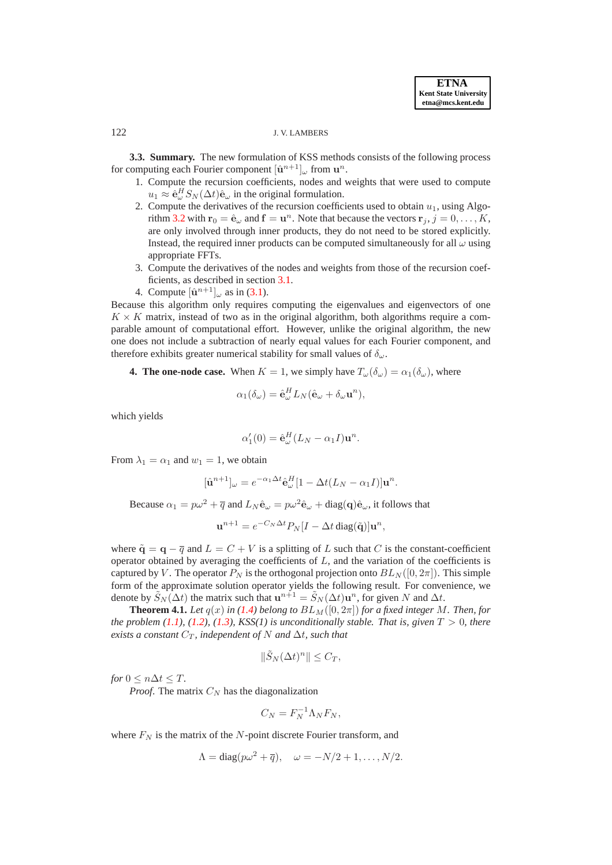### 122 J. V. LAMBERS

**3.3. Summary.** The new formulation of KSS methods consists of the following process for computing each Fourier component  $[\hat{\mathbf{u}}^{n+1}]_{\omega}$  from  $\mathbf{u}^{n}$ .

- 1. Compute the recursion coefficients, nodes and weights that were used to compute  $u_1 \approx \hat{\mathbf{e}}_{\omega}^H S_N(\Delta t) \hat{\mathbf{e}}_{\omega}$  in the original formulation.
- 2. Compute the derivatives of the recursion coefficients used to obtain  $u_1$ , using Algo-rithm [3.2](#page-7-0) with  $\mathbf{r}_0 = \hat{\mathbf{e}}_{\omega}$  and  $\mathbf{f} = \mathbf{u}^n$ . Note that because the vectors  $\mathbf{r}_j$ ,  $j = 0, \dots, K$ , are only involved through inner products, they do not need to be stored explicitly. Instead, the required inner products can be computed simultaneously for all  $\omega$  using appropriate FFTs.
- 3. Compute the derivatives of the nodes and weights from those of the recursion coefficients, as described in section [3.1.](#page-5-1)
- 4. Compute  $[\hat{\mathbf{u}}^{n+1}]_{\omega}$  as in [\(3.1\)](#page-5-2).

<span id="page-8-0"></span>Because this algorithm only requires computing the eigenvalues and eigenvectors of one  $K \times K$  matrix, instead of two as in the original algorithm, both algorithms require a comparable amount of computational effort. However, unlike the original algorithm, the new one does not include a subtraction of nearly equal values for each Fourier component, and therefore exhibits greater numerical stability for small values of  $\delta_{\omega}$ .

**4. The one-node case.** When  $K = 1$ , we simply have  $T_{\omega}(\delta_{\omega}) = \alpha_1(\delta_{\omega})$ , where

$$
\alpha_1(\delta_\omega) = \hat{\mathbf{e}}_\omega^H L_N(\hat{\mathbf{e}}_\omega + \delta_\omega \mathbf{u}^n),
$$

which yields

$$
\alpha'_1(0) = \hat{\mathbf{e}}_{\omega}^H (L_N - \alpha_1 I) \mathbf{u}^n.
$$

From  $\lambda_1 = \alpha_1$  and  $w_1 = 1$ , we obtain

$$
[\hat{\mathbf{u}}^{n+1}]_{\omega} = e^{-\alpha_1 \Delta t} \hat{\mathbf{e}}_{\omega}^H [1 - \Delta t (L_N - \alpha_1 I)] \mathbf{u}^n.
$$

Because  $\alpha_1 = p\omega^2 + \overline{q}$  and  $L_N \hat{\mathbf{e}}_{\omega} = p\omega^2 \hat{\mathbf{e}}_{\omega} + \text{diag}(\mathbf{q})\hat{\mathbf{e}}_{\omega}$ , it follows that

$$
\mathbf{u}^{n+1} = e^{-C_N \Delta t} P_N[I - \Delta t \operatorname{diag}(\tilde{\mathbf{q}})] \mathbf{u}^n,
$$

where  $\tilde{q} = q - \overline{q}$  and  $L = C + V$  is a splitting of L such that C is the constant-coefficient operator obtained by averaging the coefficients of  $L$ , and the variation of the coefficients is captured by V. The operator  $P_N$  is the orthogonal projection onto  $BL_N([0, 2\pi])$ . This simple form of the approximate solution operator yields the following result. For convenience, we denote by  $\tilde{S}_N(\Delta t)$  the matrix such that  $\mathbf{u}^{n+1} = \tilde{S}_N(\Delta t) \mathbf{u}^n$ , for given N and  $\Delta t$ .

<span id="page-8-1"></span>**Theorem 4.1.** *Let*  $q(x)$  *in* [\(1.4\)](#page-0-3) *belong to*  $BL_M([0, 2\pi])$  *for a fixed integer* M. *Then, for the problem [\(1.1\)](#page-0-0), [\(1.2\)](#page-0-1), [\(1.3\)](#page-0-2), KSS(1) is unconditionally stable. That is, given*  $T > 0$ *, there exists a constant*  $C_T$ *, independent of* N *and*  $\Delta t$ *, such that* 

$$
\|\tilde{S}_N(\Delta t)^n\| \le C_T,
$$

*for*  $0 \leq n \Delta t \leq T$ .

*Proof.* The matrix  $C_N$  has the diagonalization

$$
C_N = F_N^{-1} \Lambda_N F_N,
$$

where  $F_N$  is the matrix of the N-point discrete Fourier transform, and

$$
\Lambda = \text{diag}(p\omega^2 + \overline{q}), \quad \omega = -N/2 + 1, \dots, N/2.
$$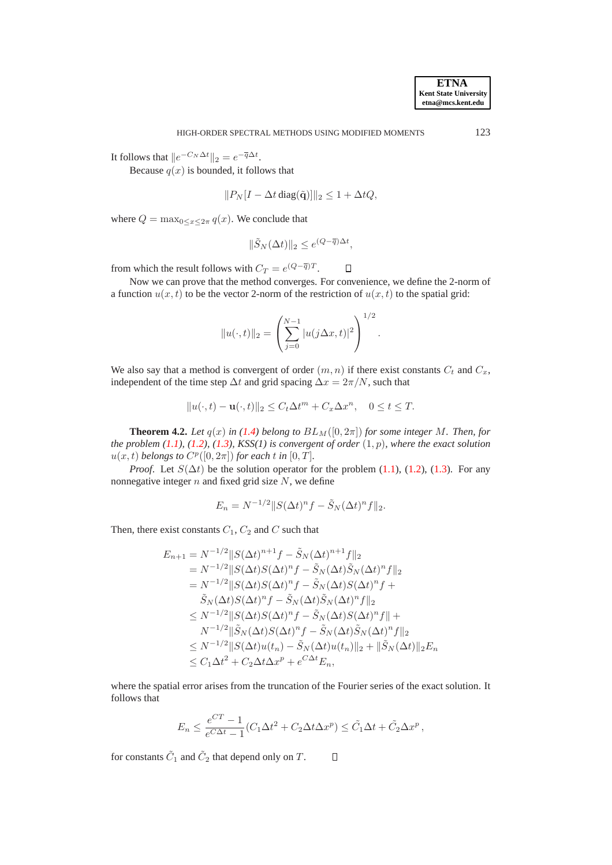It follows that  $||e^{-C_N \Delta t}||_2 = e^{-\overline{q}\Delta t}$ .

Because  $q(x)$  is bounded, it follows that

$$
||P_N[I - \Delta t \operatorname{diag}(\tilde{\mathbf{q}})||_2 \le 1 + \Delta t Q,
$$

where  $Q = \max_{0 \le x \le 2\pi} q(x)$ . We conclude that

$$
\|\tilde{S}_N(\Delta t)\|_2 \leq e^{(Q-\overline{q})\Delta t},
$$

 $\Box$ 

from which the result follows with  $C_T = e^{(Q - \overline{q})T}$ .

Now we can prove that the method converges. For convenience, we define the 2-norm of a function  $u(x, t)$  to be the vector 2-norm of the restriction of  $u(x, t)$  to the spatial grid:

$$
||u(\cdot,t)||_2 = \left(\sum_{j=0}^{N-1} |u(j\Delta x, t)|^2\right)^{1/2}.
$$

We also say that a method is convergent of order  $(m, n)$  if there exist constants  $C_t$  and  $C_x$ , independent of the time step  $\Delta t$  and grid spacing  $\Delta x = 2\pi/N$ , such that

$$
||u(\cdot,t) - \mathbf{u}(\cdot,t)||_2 \le C_t \Delta t^m + C_x \Delta x^n, \quad 0 \le t \le T.
$$

<span id="page-9-0"></span>**Theorem 4.2.** *Let*  $q(x)$  *in* [\(1.4\)](#page-0-3) *belong to*  $BL_M([0, 2\pi])$  *for some integer* M. *Then, for the problem*  $(1.1)$ *,*  $(1.2)$ *,*  $(1.3)$ *, KSS(1) is convergent of order*  $(1, p)$ *, where the exact solution*  $u(x, t)$  *belongs to*  $C^p([0, 2\pi])$  *for each* t *in*  $[0, T]$ *.* 

*Proof.* Let  $S(\Delta t)$  be the solution operator for the problem [\(1.1\)](#page-0-0), [\(1.2\)](#page-0-1), [\(1.3\)](#page-0-2). For any nonnegative integer  $n$  and fixed grid size  $N$ , we define

$$
E_n = N^{-1/2} ||S(\Delta t)^n f - \tilde{S}_N (\Delta t)^n f||_2.
$$

Then, there exist constants  $C_1$ ,  $C_2$  and C such that

$$
E_{n+1} = N^{-1/2} ||S(\Delta t)^{n+1} f - \tilde{S}_N(\Delta t)^{n+1} f||_2
$$
  
\n
$$
= N^{-1/2} ||S(\Delta t)S(\Delta t)^n f - \tilde{S}_N(\Delta t) \tilde{S}_N(\Delta t)^n f||_2
$$
  
\n
$$
= N^{-1/2} ||S(\Delta t)S(\Delta t)^n f - \tilde{S}_N(\Delta t)S(\Delta t)^n f + \tilde{S}_N(\Delta t)S(\Delta t)^n f||_2
$$
  
\n
$$
\leq N^{-1/2} ||S(\Delta t)S(\Delta t)^n f - \tilde{S}_N(\Delta t)S(\Delta t)^n f||_2
$$
  
\n
$$
\leq N^{-1/2} ||S(\Delta t)S(\Delta t)^n f - \tilde{S}_N(\Delta t)S(\Delta t)^n f||_2
$$
  
\n
$$
\leq N^{-1/2} ||S(\Delta t)S(\Delta t)^n f - \tilde{S}_N(\Delta t) \tilde{S}_N(\Delta t)^n f||_2
$$
  
\n
$$
\leq N^{-1/2} ||S(\Delta t)u(t_n) - \tilde{S}_N(\Delta t)u(t_n)||_2 + ||\tilde{S}_N(\Delta t)||_2 E_n
$$
  
\n
$$
\leq C_1 \Delta t^2 + C_2 \Delta t \Delta x^p + e^{C\Delta t} E_n,
$$

where the spatial error arises from the truncation of the Fourier series of the exact solution. It follows that

$$
E_n \le \frac{e^{CT} - 1}{e^{C\Delta t} - 1} (C_1 \Delta t^2 + C_2 \Delta t \Delta x^p) \le \tilde{C}_1 \Delta t + \tilde{C}_2 \Delta x^p,
$$

for constants  $\tilde{C}_1$  and  $\tilde{C}_2$  that depend only on  $T$ .  $\Box$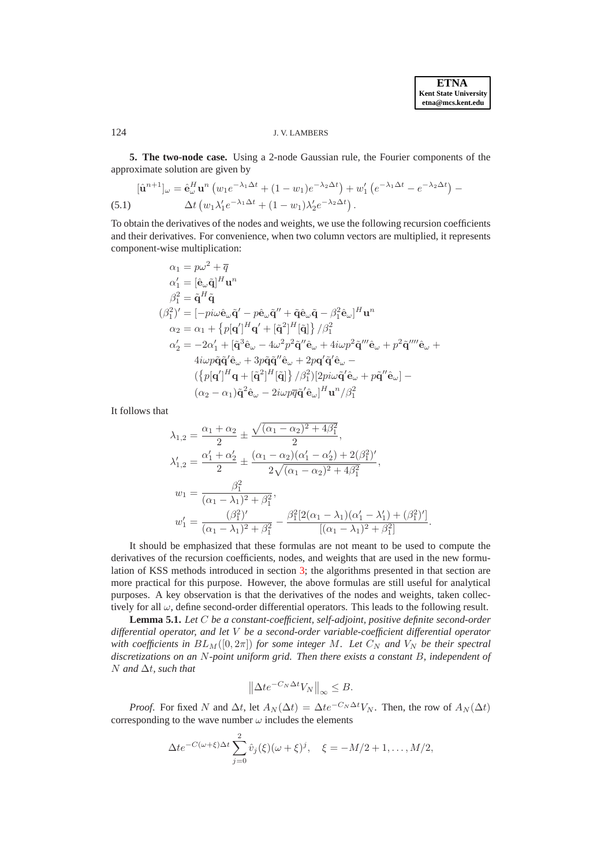.

## <span id="page-10-0"></span>124 J. V. LAMBERS

**5. The two-node case.** Using a 2-node Gaussian rule, the Fourier components of the approximate solution are given by

<span id="page-10-1"></span>
$$
[\hat{\mathbf{u}}^{n+1}]_{\omega} = \hat{\mathbf{e}}_{\omega}^{H} \mathbf{u}^{n} \left( w_{1} e^{-\lambda_{1} \Delta t} + (1 - w_{1}) e^{-\lambda_{2} \Delta t} \right) + w_{1}' \left( e^{-\lambda_{1} \Delta t} - e^{-\lambda_{2} \Delta t} \right) - \Delta t \left( w_{1} \lambda_{1}' e^{-\lambda_{1} \Delta t} + (1 - w_{1}) \lambda_{2}' e^{-\lambda_{2} \Delta t} \right).
$$
\n(5.1)

To obtain the derivatives of the nodes and weights, we use the following recursion coefficients and their derivatives. For convenience, when two column vectors are multiplied, it represents component-wise multiplication:

$$
\alpha_1 = p\omega^2 + \overline{q}
$$
\n
$$
\alpha'_1 = [\hat{\mathbf{e}}_{\omega}\tilde{\mathbf{q}}]^{H}\mathbf{u}^{n}
$$
\n
$$
\beta_1^2 = \tilde{\mathbf{q}}^{H}\tilde{\mathbf{q}}
$$
\n
$$
(\beta_1^2)' = [-p i\omega \hat{\mathbf{e}}_{\omega}\tilde{\mathbf{q}}' - p \hat{\mathbf{e}}_{\omega}\tilde{\mathbf{q}}'' + \tilde{\mathbf{q}} \hat{\mathbf{e}}_{\omega}\tilde{\mathbf{q}} - \beta_1^2 \hat{\mathbf{e}}_{\omega}]^{H}\mathbf{u}^{n}
$$
\n
$$
\alpha_2 = \alpha_1 + \{p[\mathbf{q}']^{H}\mathbf{q}' + [\tilde{\mathbf{q}}^2]^{H}[\tilde{\mathbf{q}}]\} / \beta_1^2
$$
\n
$$
\alpha'_2 = -2\alpha'_1 + [\tilde{\mathbf{q}}^3 \hat{\mathbf{e}}_{\omega} - 4\omega^2 p^2 \tilde{\mathbf{q}}'' \hat{\mathbf{e}}_{\omega} + 4i\omega p^2 \tilde{\mathbf{q}}''' \hat{\mathbf{e}}_{\omega} + p^2 \tilde{\mathbf{q}}'''' \hat{\mathbf{e}}_{\omega} + 4i\omega p \tilde{\mathbf{q}} \tilde{\mathbf{q}}' \hat{\mathbf{e}}_{\omega} + 3p \tilde{\mathbf{q}} \tilde{\mathbf{q}}'' \hat{\mathbf{e}}_{\omega} + 2p \mathbf{q}' \tilde{\mathbf{q}}' \hat{\mathbf{e}}_{\omega} - ( \{p[\mathbf{q}']^{H}\mathbf{q} + [\tilde{\mathbf{q}}^2]^{H}[\tilde{\mathbf{q}}] \} / \beta_1^2) [2pi \omega \tilde{\mathbf{q}}' \hat{\mathbf{e}}_{\omega} + p \tilde{\mathbf{q}}'' \hat{\mathbf{e}}_{\omega}] - (\alpha_2 - \alpha_1) \tilde{\mathbf{q}}^2 \hat{\mathbf{e}}_{\omega} - 2i\omega p \overline{q} \tilde{\mathbf{q}}' \hat{\mathbf{e}}_{\omega}]^{H}\mathbf{u}^{n}/\beta_1^2
$$

It follows that

$$
\lambda_{1,2} = \frac{\alpha_1 + \alpha_2}{2} \pm \frac{\sqrt{(\alpha_1 - \alpha_2)^2 + 4\beta_1^2}}{2},
$$
  
\n
$$
\lambda'_{1,2} = \frac{\alpha'_1 + \alpha'_2}{2} \pm \frac{(\alpha_1 - \alpha_2)(\alpha'_1 - \alpha'_2) + 2(\beta_1^2)'}{2\sqrt{(\alpha_1 - \alpha_2)^2 + 4\beta_1^2}},
$$
  
\n
$$
w_1 = \frac{\beta_1^2}{(\alpha_1 - \lambda_1)^2 + \beta_1^2},
$$
  
\n
$$
w'_1 = \frac{(\beta_1^2)'}{(\alpha_1 - \lambda_1)^2 + \beta_1^2} - \frac{\beta_1^2[2(\alpha_1 - \lambda_1)(\alpha'_1 - \lambda'_1) + (\beta_1^2)']}{[(\alpha_1 - \lambda_1)^2 + \beta_1^2]}
$$

It should be emphasized that these formulas are not meant to be used to compute the derivatives of the recursion coefficients, nodes, and weights that are used in the new formulation of KSS methods introduced in section [3;](#page-4-0) the algorithms presented in that section are more practical for this purpose. However, the above formulas are still useful for analytical purposes. A key observation is that the derivatives of the nodes and weights, taken collectively for all  $\omega$ , define second-order differential operators. This leads to the following result.

<span id="page-10-2"></span>**Lemma 5.1.** *Let* C *be a constant-coefficient, self-adjoint, positive definite second-order differential operator, and let* V *be a second-order variable-coefficient differential operator with coefficients in*  $BL_M([0, 2\pi])$  *for some integer* M. Let  $C_N$  *and*  $V_N$  *be their spectral discretizations on an* N*-point uniform grid. Then there exists a constant* B*, independent of* N *and* ∆t*, such that*

$$
\left\|\Delta t e^{-C_N\Delta t}V_N\right\|_{\infty}\leq B.
$$

*Proof.* For fixed N and  $\Delta t$ , let  $A_N(\Delta t) = \Delta t e^{-C_N \Delta t} V_N$ . Then, the row of  $A_N(\Delta t)$ corresponding to the wave number  $\omega$  includes the elements

$$
\Delta t e^{-C(\omega+\xi)\Delta t} \sum_{j=0}^{2} \hat{v}_j(\xi)(\omega+\xi)^j, \quad \xi = -M/2+1,\ldots,M/2,
$$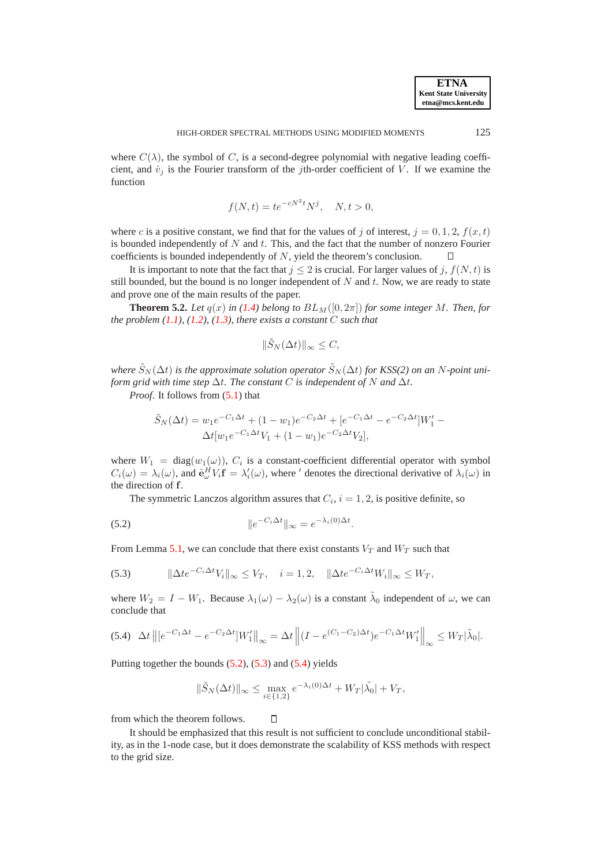where  $C(\lambda)$ , the symbol of C, is a second-degree polynomial with negative leading coefficient, and  $\hat{v}_j$  is the Fourier transform of the *j*th-order coefficient of V. If we examine the function

$$
f(N,t) = te^{-cN^2t}N^j, \quad N, t > 0,
$$

where c is a positive constant, we find that for the values of j of interest,  $j = 0, 1, 2, f(x, t)$ is bounded independently of  $N$  and  $t$ . This, and the fact that the number of nonzero Fourier coefficients is bounded independently of N, yield the theorem's conclusion. Л

It is important to note that the fact that  $j \leq 2$  is crucial. For larger values of j,  $f(N, t)$  is still bounded, but the bound is no longer independent of  $N$  and  $t$ . Now, we are ready to state and prove one of the main results of the paper.

<span id="page-11-3"></span>**Theorem 5.2.** Let  $q(x)$  in [\(1.4\)](#page-0-3) belong to  $BL_M([0, 2\pi])$  for some integer M. Then, for *the problem [\(1.1\)](#page-0-0), [\(1.2\)](#page-0-1), [\(1.3\)](#page-0-2), there exists a constant* C *such that*

$$
\|\tilde{S}_N(\Delta t)\|_{\infty} \leq C,
$$

*where*  $\tilde{S}_N(\Delta t)$  *is the approximate solution operator*  $\tilde{S}_N(\Delta t)$  *for KSS(2) on an* N-point uni*form grid with time step*  $\Delta t$ *. The constant* C *is independent of* N *and*  $\Delta t$ *.* 

*Proof.* It follows from  $(5.1)$  that

$$
\tilde{S}_N(\Delta t) = w_1 e^{-C_1 \Delta t} + (1 - w_1) e^{-C_2 \Delta t} + [e^{-C_1 \Delta t} - e^{-C_2 \Delta t}] W'_1 - \Delta t [w_1 e^{-C_1 \Delta t} V_1 + (1 - w_1) e^{-C_2 \Delta t} V_2],
$$

where  $W_1 = \text{diag}(w_1(\omega))$ ,  $C_i$  is a constant-coefficient differential operator with symbol  $C_i(\omega) = \lambda_i(\omega)$ , and  $\hat{\mathbf{e}}_{\omega}^H V_i \mathbf{f} = \lambda'_i(\omega)$ , where ' denotes the directional derivative of  $\lambda_i(\omega)$  in the direction of f.

<span id="page-11-0"></span>The symmetric Lanczos algorithm assures that  $C_i$ ,  $i = 1, 2$ , is positive definite, so

(5.2) 
$$
\|e^{-C_i\Delta t}\|_{\infty} = e^{-\lambda_i(0)\Delta t}.
$$

From Lemma [5.1,](#page-10-2) we can conclude that there exist constants  $V_T$  and  $W_T$  such that

<span id="page-11-1"></span>
$$
(5.3) \qquad \|\Delta t e^{-C_i \Delta t} V_i\|_{\infty} \leq V_T, \quad i = 1, 2, \quad \|\Delta t e^{-C_i \Delta t} W_i\|_{\infty} \leq W_T,
$$

 $\Box$ 

where  $W_2 = I - W_1$ . Because  $\lambda_1(\omega) - \lambda_2(\omega)$  is a constant  $\tilde{\lambda}_0$  independent of  $\omega$ , we can conclude that

<span id="page-11-2"></span>
$$
(5.4)\quad \Delta t \left\| [e^{-C_1\Delta t} - e^{-C_2\Delta t}] W_1' \right\|_{\infty} = \Delta t \left\| (I - e^{(C_1 - C_2)\Delta t}) e^{-C_1\Delta t} W_1' \right\|_{\infty} \leq W_T |\tilde{\lambda}_0|.
$$

Putting together the bounds  $(5.2)$ ,  $(5.3)$  and  $(5.4)$  yields

$$
\|\tilde{S}_N(\Delta t)\|_{\infty} \leq \max_{i \in \{1,2\}} e^{-\lambda_i(0)\Delta t} + W_T|\tilde{\lambda_0}| + V_T,
$$

from which the theorem follows.

It should be emphasized that this result is not sufficient to conclude unconditional stability, as in the 1-node case, but it does demonstrate the scalability of KSS methods with respect to the grid size.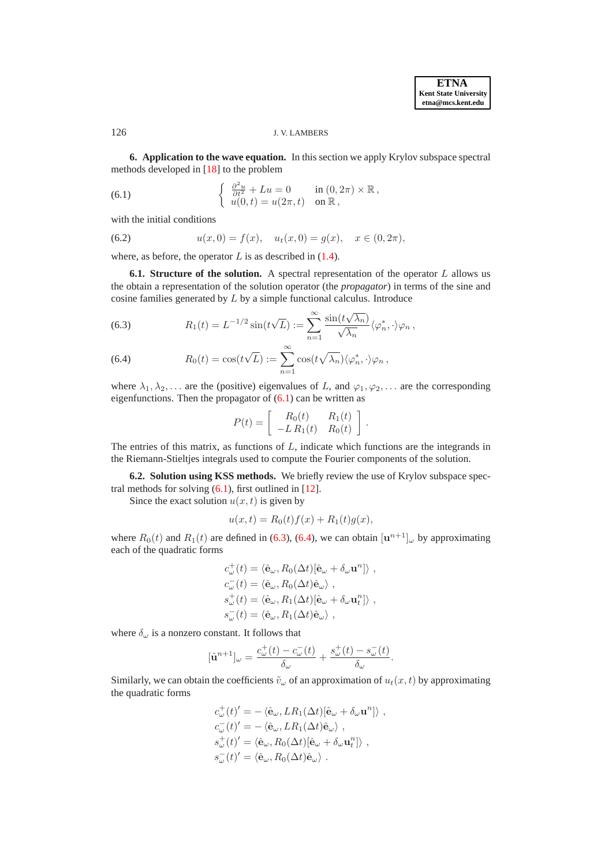## <span id="page-12-0"></span>126 J. V. LAMBERS

**6. Application to the wave equation.** In this section we apply Krylov subspace spectral methods developed in [\[18\]](#page-21-0) to the problem

<span id="page-12-1"></span>(6.1) 
$$
\begin{cases} \frac{\partial^2 u}{\partial t^2} + Lu = 0 & \text{in } (0, 2\pi) \times \mathbb{R}, \\ u(0, t) = u(2\pi, t) & \text{on } \mathbb{R}, \end{cases}
$$

with the initial conditions

<span id="page-12-3"></span>(6.2) 
$$
u(x, 0) = f(x), \quad u_t(x, 0) = g(x), \quad x \in (0, 2\pi),
$$

where, as before, the operator  $L$  is as described in  $(1.4)$ .

**6.1. Structure of the solution.** A spectral representation of the operator L allows us the obtain a representation of the solution operator (the *propagator*) in terms of the sine and cosine families generated by L by a simple functional calculus. Introduce

<span id="page-12-2"></span>(6.3) 
$$
R_1(t) = L^{-1/2} \sin(t\sqrt{L}) := \sum_{n=1}^{\infty} \frac{\sin(t\sqrt{\lambda_n})}{\sqrt{\lambda_n}} \langle \varphi_n^*, \cdot \rangle \varphi_n,
$$

(6.4) 
$$
R_0(t) = \cos(t\sqrt{L}) := \sum_{n=1}^{\infty} \cos(t\sqrt{\lambda_n}) \langle \varphi_n^*, \cdot \rangle \varphi_n,
$$

where  $\lambda_1, \lambda_2, \ldots$  are the (positive) eigenvalues of L, and  $\varphi_1, \varphi_2, \ldots$  are the corresponding eigenfunctions. Then the propagator of  $(6.1)$  can be written as

$$
P(t) = \begin{bmatrix} R_0(t) & R_1(t) \\ -L R_1(t) & R_0(t) \end{bmatrix}.
$$

The entries of this matrix, as functions of  $L$ , indicate which functions are the integrands in the Riemann-Stieltjes integrals used to compute the Fourier components of the solution.

**6.2. Solution using KSS methods.** We briefly review the use of Krylov subspace spectral methods for solving  $(6.1)$ , first outlined in [\[12\]](#page-21-4).

Since the exact solution  $u(x, t)$  is given by

$$
u(x,t) = R_0(t)f(x) + R_1(t)g(x),
$$

where  $R_0(t)$  and  $R_1(t)$  are defined in [\(6.3\)](#page-12-2), [\(6.4\)](#page-12-2), we can obtain  $[\mathbf{u}^{n+1}]_{\omega}$  by approximating each of the quadratic forms

$$
\begin{split} & c^+_{\omega}(t) = \langle \hat{\mathbf{e}}_{\omega}, R_0(\Delta t)[\hat{\mathbf{e}}_{\omega} + \delta_{\omega} \mathbf{u}^n] \rangle \;, \\ & c^-_{\omega}(t) = \langle \hat{\mathbf{e}}_{\omega}, R_0(\Delta t) \hat{\mathbf{e}}_{\omega} \rangle \;, \\ & s^+_{\omega}(t) = \langle \hat{\mathbf{e}}_{\omega}, R_1(\Delta t)[\hat{\mathbf{e}}_{\omega} + \delta_{\omega} \mathbf{u}^n_t] \rangle \;, \\ & s^-_{\omega}(t) = \langle \hat{\mathbf{e}}_{\omega}, R_1(\Delta t) \hat{\mathbf{e}}_{\omega} \rangle \;, \end{split}
$$

where  $\delta_{\omega}$  is a nonzero constant. It follows that

$$
[\hat{\mathbf{u}}^{n+1}]_{\omega} = \frac{c_{\omega}^{+}(t) - c_{\omega}^{-}(t)}{\delta_{\omega}} + \frac{s_{\omega}^{+}(t) - s_{\omega}^{-}(t)}{\delta_{\omega}}.
$$

Similarly, we can obtain the coefficients  $\tilde{v}_\omega$  of an approximation of  $u_t(x, t)$  by approximating the quadratic forms

$$
c^+_{\omega}(t)' = - \langle \hat{\mathbf{e}}_{\omega}, LR_1(\Delta t)[\hat{\mathbf{e}}_{\omega} + \delta_{\omega} \mathbf{u}^n] \rangle ,
$$
  
\n
$$
c^-_{\omega}(t)' = - \langle \hat{\mathbf{e}}_{\omega}, LR_1(\Delta t)\hat{\mathbf{e}}_{\omega} \rangle ,
$$
  
\n
$$
s^+_{\omega}(t)' = \langle \hat{\mathbf{e}}_{\omega}, R_0(\Delta t)[\hat{\mathbf{e}}_{\omega} + \delta_{\omega} \mathbf{u}^n_t] \rangle ,
$$
  
\n
$$
s^-_{\omega}(t)' = \langle \hat{\mathbf{e}}_{\omega}, R_0(\Delta t)\hat{\mathbf{e}}_{\omega} \rangle .
$$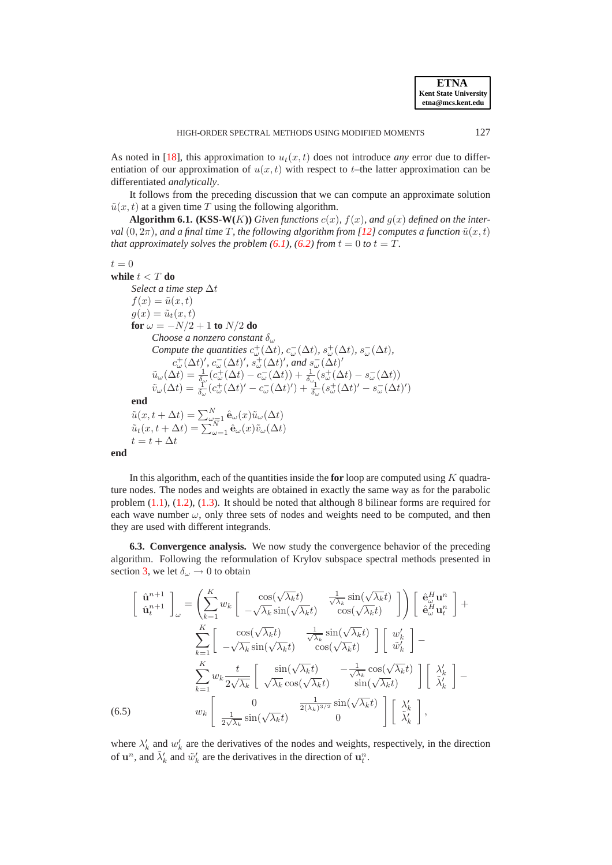As noted in [\[18\]](#page-21-0), this approximation to  $u_t(x, t)$  does not introduce *any* error due to differentiation of our approximation of  $u(x, t)$  with respect to t-the latter approximation can be differentiated *analytically*.

<span id="page-13-0"></span>It follows from the preceding discussion that we can compute an approximate solution  $\tilde{u}(x, t)$  at a given time T using the following algorithm.

**Algorithm 6.1.** (KSS-W(K)) *Given functions*  $c(x)$ *,*  $f(x)$ *, and*  $g(x)$  *defined on the interval*  $(0, 2\pi)$ *, and a final time T, the following algorithm from* [\[12\]](#page-21-4) *computes a function*  $\tilde{u}(x, t)$ *that approximately solves the problem*  $(6.1)$ *,*  $(6.2)$  *from*  $t = 0$  *to*  $t = T$ *.* 

```
t = 0
```

```
while t < T do
          Select a time step ∆t
          f(x) = \tilde{u}(x, t)g(x) = \tilde{u}_t(x, t)for \omega = -N/2 + 1 to N/2 do
                      Choose a nonzero constant δω
                       Compute the quantities c_{\omega}^{+}(\Delta t), c_{\omega}^{-}(\Delta t), s_{\omega}^{+}(\Delta t), s_{\omega}^{-}(\Delta t),
                                  c_{\omega}^{+}(\Delta t)', c_{\omega}^{-}(\Delta t)', s_{\omega}^{+}(\Delta t)', and s_{\omega}^{-}(\Delta t)'\tilde{u}_{\omega}(\Delta t) = \frac{1}{\delta_{\omega}} (c_{\omega}^{+}(\Delta t) - c_{\omega}^{-}(\Delta t)) + \frac{1}{\delta_{\omega}} (s_{\omega}^{+}(\Delta t) - s_{\omega}^{-}(\Delta t))\tilde{v}_{\omega}(\Delta t) = \frac{1}{\delta_{\omega}}(c_{\omega}^{+}(\Delta t)' - c_{\omega}^{-}(\Delta t)') + \frac{1}{\delta_{\omega}}(s_{\omega}^{+}(\Delta t)' - s_{\omega}^{-}(\Delta t)')end
           \tilde{u}(x, t + \Delta t) = \sum_{\omega=1}^{N} \hat{\mathbf{e}}_{\omega}(x) \tilde{u}_{\omega}(\Delta t)\tilde{u}_t(x, t + \Delta t) = \sum_{\omega=1}^{N} \hat{\mathbf{e}}_{\omega}(x) \tilde{v}_{\omega}(\Delta t)t = t + \Delta tend
```
In this algorithm, each of the quantities inside the **for** loop are computed using K quadrature nodes. The nodes and weights are obtained in exactly the same way as for the parabolic problem [\(1.1\)](#page-0-0), [\(1.2\)](#page-0-1), [\(1.3\)](#page-0-2). It should be noted that although 8 bilinear forms are required for each wave number  $\omega$ , only three sets of nodes and weights need to be computed, and then they are used with different integrands.

**6.3. Convergence analysis.** We now study the convergence behavior of the preceding algorithm. Following the reformulation of Krylov subspace spectral methods presented in section [3,](#page-4-0) we let  $\delta_{\omega} \rightarrow 0$  to obtain

<span id="page-13-1"></span>
$$
\begin{bmatrix}\n\hat{\mathbf{u}}^{n+1} \\
\hat{\mathbf{u}}^{n+1} \\
\end{bmatrix}_{\omega} = \left( \sum_{k=1}^{K} w_k \begin{bmatrix}\n\cos(\sqrt{\lambda_k}t) & \frac{1}{\sqrt{\lambda_k}} \sin(\sqrt{\lambda_k}t) \\
-\sqrt{\lambda_k} \sin(\sqrt{\lambda_k}t) & \cos(\sqrt{\lambda_k}t)\n\end{bmatrix} \right) \begin{bmatrix}\n\hat{\mathbf{e}}_{\omega}^H \mathbf{u}^n \\
\hat{\mathbf{e}}_{\omega}^H \mathbf{u}^n \\
\end{bmatrix} + \sum_{k=1}^{K} \begin{bmatrix}\n\cos(\sqrt{\lambda_k}t) & \frac{1}{\sqrt{\lambda_k}} \sin(\sqrt{\lambda_k}t) \\
-\sqrt{\lambda_k} \sin(\sqrt{\lambda_k}t) & \cos(\sqrt{\lambda_k}t)\n\end{bmatrix} \begin{bmatrix}\nw'_k \\
\tilde{w}'_k\n\end{bmatrix} - \sum_{k=1}^{K} w_k \frac{t}{2\sqrt{\lambda_k}} \begin{bmatrix}\n\sin(\sqrt{\lambda_k}t) & -\frac{1}{\sqrt{\lambda_k}} \cos(\sqrt{\lambda_k}t) \\
\sqrt{\lambda_k} \cos(\sqrt{\lambda_k}t) & \sin(\sqrt{\lambda_k}t)\n\end{bmatrix} \begin{bmatrix}\n\lambda'_k \\
\tilde{\lambda}'_k\n\end{bmatrix} - w_k \begin{bmatrix}\n0 & \frac{1}{2(\lambda_k)^{3/2}} \sin(\sqrt{\lambda_k}t) \\
\frac{1}{2\sqrt{\lambda_k}} \sin(\sqrt{\lambda_k}t) & 0\n\end{bmatrix} \begin{bmatrix}\n\lambda'_k \\
\tilde{\lambda}'_k\n\end{bmatrix},
$$

where  $\lambda'_k$  and  $w'_k$  are the derivatives of the nodes and weights, respectively, in the direction of  $\mathbf{u}^n$ , and  $\tilde{\lambda}'_k$  and  $\tilde{w}'_k$  are the derivatives in the direction of  $\mathbf{u}_t^n$ .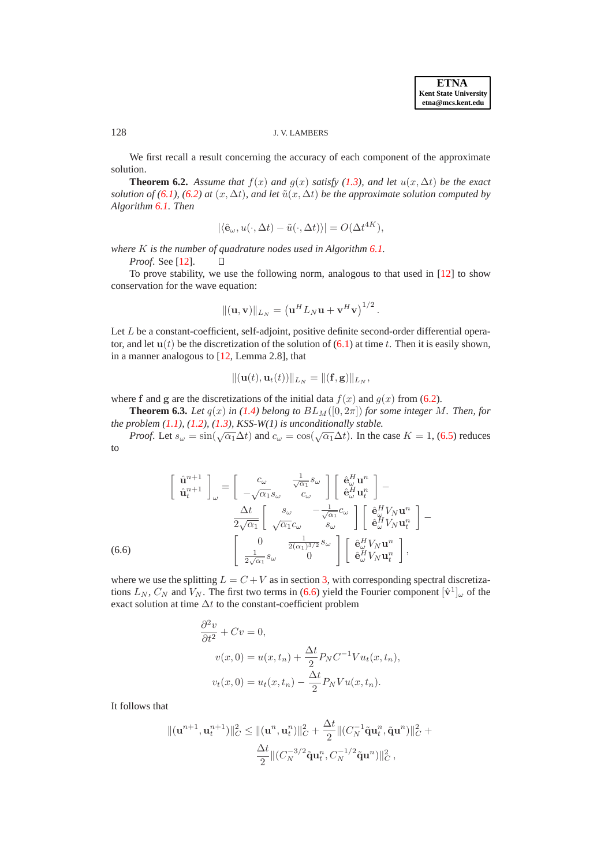# 128 J. V. LAMBERS

We first recall a result concerning the accuracy of each component of the approximate solution.

**Theorem 6.2.** Assume that  $f(x)$  and  $q(x)$  satisfy [\(1.3\)](#page-0-2), and let  $u(x, \Delta t)$  be the exact *solution of* [\(6.1\)](#page-12-1), [\(6.2\)](#page-12-3) at  $(x, \Delta t)$ *, and let*  $\tilde{u}(x, \Delta t)$  *be the approximate solution computed by Algorithm [6.1.](#page-13-0) Then*

$$
|\langle \hat{\mathbf{e}}_{\omega}, u(\cdot, \Delta t) - \tilde{u}(\cdot, \Delta t) \rangle| = O(\Delta t^{4K}),
$$

*where* K *is the number of quadrature nodes used in Algorithm [6.1.](#page-13-0)*

 $\Box$ 

*Proof*. See [\[12\]](#page-21-4).

To prove stability, we use the following norm, analogous to that used in [\[12\]](#page-21-4) to show conservation for the wave equation:

$$
\|(\mathbf{u},\mathbf{v})\|_{L_N} = \left(\mathbf{u}^H L_N \mathbf{u} + \mathbf{v}^H \mathbf{v}\right)^{1/2}.
$$

Let L be a constant-coefficient, self-adjoint, positive definite second-order differential operator, and let  $u(t)$  be the discretization of the solution of  $(6.1)$  at time t. Then it is easily shown, in a manner analogous to [\[12,](#page-21-4) Lemma 2.8], that

$$
\|(\mathbf{u}(t),\mathbf{u}_t(t))\|_{L_N}=\|(\mathbf{f},\mathbf{g})\|_{L_N},
$$

<span id="page-14-1"></span>where f and g are the discretizations of the initial data  $f(x)$  and  $g(x)$  from [\(6.2\)](#page-12-3).

**Theorem 6.3.** Let  $q(x)$  in [\(1.4\)](#page-0-3) belong to  $BL_M([0, 2\pi])$  for some integer M. Then, for *the problem [\(1.1\)](#page-0-0), [\(1.2\)](#page-0-1), [\(1.3\)](#page-0-2), KSS-W(1) is unconditionally stable.*

*Proof.* Let  $s_{\omega} = \sin(\sqrt{\alpha_1} \Delta t)$  and  $c_{\omega} = \cos(\sqrt{\alpha_1} \Delta t)$ . In the case  $K = 1$ , [\(6.5\)](#page-13-1) reduces to

<span id="page-14-0"></span>
$$
\begin{bmatrix}\n\hat{\mathbf{u}}^{n+1} \\
\hat{\mathbf{u}}^{n+1} \n\end{bmatrix}_{\omega} = \begin{bmatrix}\nc_{\omega} & \frac{1}{\sqrt{\alpha_{1}}} s_{\omega} \\
-\sqrt{\alpha_{1}} s_{\omega} & c_{\omega}\n\end{bmatrix} \begin{bmatrix}\n\hat{\mathbf{e}}_{\omega}^{H} \mathbf{u}^{n} \\
\hat{\mathbf{e}}_{\omega}^{H} \mathbf{u}^{n} \n\end{bmatrix} - \frac{\Delta t}{2\sqrt{\alpha_{1}}} \begin{bmatrix}\ns_{\omega} & -\frac{1}{\sqrt{\alpha_{1}}} c_{\omega} \\
\sqrt{\alpha_{1}} c_{\omega} & s_{\omega}\n\end{bmatrix} \begin{bmatrix}\n\hat{\mathbf{e}}_{\omega}^{H} V_{N} \mathbf{u}^{n} \\
\hat{\mathbf{e}}_{\omega}^{H} V_{N} \mathbf{u}^{n} \n\end{bmatrix} - \begin{bmatrix}\n0 & \frac{1}{2(\alpha_{1})^{3/2}} s_{\omega} \\
\frac{1}{2\sqrt{\alpha_{1}}} s_{\omega} & 0\n\end{bmatrix} \begin{bmatrix}\n\hat{\mathbf{e}}_{\omega}^{H} V_{N} \mathbf{u}^{n} \\
\hat{\mathbf{e}}_{\omega}^{H} V_{N} \mathbf{u}^{n} \n\end{bmatrix},
$$
\n(6.6)

where we use the splitting  $L = C + V$  as in section [3,](#page-4-0) with corresponding spectral discretizations  $L_N$ ,  $C_N$  and  $V_N$ . The first two terms in [\(6.6\)](#page-14-0) yield the Fourier component  $[\hat{v}^1]_{\omega}$  of the exact solution at time  $\Delta t$  to the constant-coefficient problem

$$
\frac{\partial^2 v}{\partial t^2} + Cv = 0,
$$
  

$$
v(x, 0) = u(x, t_n) + \frac{\Delta t}{2} P_N C^{-1} V u_t(x, t_n),
$$
  

$$
v_t(x, 0) = u_t(x, t_n) - \frac{\Delta t}{2} P_N V u(x, t_n).
$$

It follows that

$$
\begin{aligned} \|(\mathbf{u}^{n+1}, \mathbf{u}_t^{n+1})\|_C^2 &\le \|(\mathbf{u}^n, \mathbf{u}_t^n)\|_C^2 + \frac{\Delta t}{2} \| (C_N^{-1} \tilde{\mathbf{q}} \mathbf{u}_t^n, \tilde{\mathbf{q}} \mathbf{u}^n) \|_C^2 + \\ &\frac{\Delta t}{2} \| (C_N^{-3/2} \tilde{\mathbf{q}} \mathbf{u}_t^n, C_N^{-1/2} \tilde{\mathbf{q}} \mathbf{u}^n) \|_C^2 \,, \end{aligned}
$$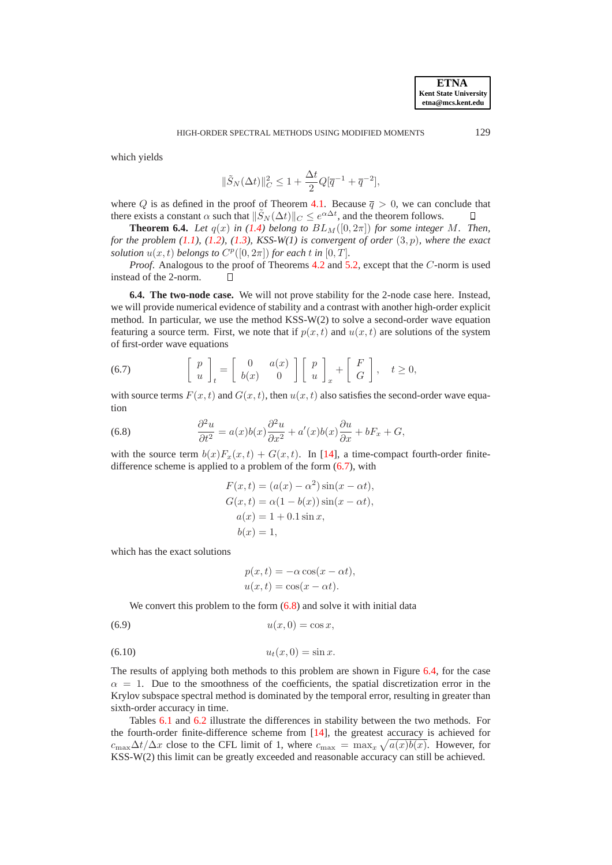which yields

$$
\|\tilde{S}_N(\Delta t)\|_C^2 \le 1 + \frac{\Delta t}{2} Q[\overline{q}^{-1} + \overline{q}^{-2}],
$$

where Q is as defined in the proof of Theorem [4.1.](#page-8-1) Because  $\bar{q} > 0$ , we can conclude that there exists a constant  $\alpha$  such that  $\|\tilde{S}_N(\Delta t)\|_C \leq e^{\alpha \Delta t}$ , and the theorem follows.  $\Box$ 

**Theorem 6.4.** *Let*  $q(x)$  *in* [\(1.4\)](#page-0-3) *belong to*  $BL_M([0, 2\pi])$  *for some integer* M. *Then, for the problem*  $(1.1)$ *,*  $(1.2)$ *,*  $(1.3)$ *, KSS-W* $(1)$  *is convergent of order*  $(3, p)$ *, where the exact solution*  $u(x,t)$  *belongs to*  $C^p([0, 2\pi])$  *for each* t *in*  $[0, T]$ *.* 

*Proof.* Analogous to the proof of Theorems [4.2](#page-9-0) and [5.2,](#page-11-3) except that the C-norm is used instead of the 2-norm.  $\Box$ 

**6.4. The two-node case.** We will not prove stability for the 2-node case here. Instead, we will provide numerical evidence of stability and a contrast with another high-order explicit method. In particular, we use the method KSS-W(2) to solve a second-order wave equation featuring a source term. First, we note that if  $p(x, t)$  and  $u(x, t)$  are solutions of the system of first-order wave equations

<span id="page-15-0"></span>(6.7) 
$$
\begin{bmatrix} p \\ u \end{bmatrix}_t = \begin{bmatrix} 0 & a(x) \\ b(x) & 0 \end{bmatrix} \begin{bmatrix} p \\ u \end{bmatrix}_x + \begin{bmatrix} F \\ G \end{bmatrix}, \quad t \ge 0,
$$

with source terms  $F(x, t)$  and  $G(x, t)$ , then  $u(x, t)$  also satisfies the second-order wave equation

<span id="page-15-1"></span>(6.8) 
$$
\frac{\partial^2 u}{\partial t^2} = a(x)b(x)\frac{\partial^2 u}{\partial x^2} + a'(x)b(x)\frac{\partial u}{\partial x} + bF_x + G,
$$

with the source term  $b(x)F_x(x,t) + G(x,t)$ . In [\[14\]](#page-21-14), a time-compact fourth-order finitedifference scheme is applied to a problem of the form [\(6.7\)](#page-15-0), with

$$
F(x,t) = (a(x) - \alpha^2) \sin(x - \alpha t),
$$
  
\n
$$
G(x,t) = \alpha(1 - b(x)) \sin(x - \alpha t),
$$
  
\n
$$
a(x) = 1 + 0.1 \sin x,
$$
  
\n
$$
b(x) = 1,
$$

which has the exact solutions

$$
p(x,t) = -\alpha \cos(x - \alpha t),
$$
  

$$
u(x,t) = \cos(x - \alpha t).
$$

<span id="page-15-3"></span><span id="page-15-2"></span>We convert this problem to the form  $(6.8)$  and solve it with initial data

$$
(6.9) \qquad \qquad u(x,0) = \cos x,
$$

(6.10) 
$$
u_t(x,0) = \sin x.
$$

The results of applying both methods to this problem are shown in Figure [6.4,](#page-20-1) for the case  $\alpha = 1$ . Due to the smoothness of the coefficients, the spatial discretization error in the Krylov subspace spectral method is dominated by the temporal error, resulting in greater than sixth-order accuracy in time.

Tables [6.1](#page-16-1) and [6.2](#page-17-0) illustrate the differences in stability between the two methods. For the fourth-order finite-difference scheme from [\[14\]](#page-21-14), the greatest accuracy is achieved for  $c_{\text{max}}\Delta t/\Delta x$  close to the CFL limit of 1, where  $c_{\text{max}} = \max_x \sqrt{a(x)b(x)}$ . However, for KSS-W(2) this limit can be greatly exceeded and reasonable accuracy can still be achieved.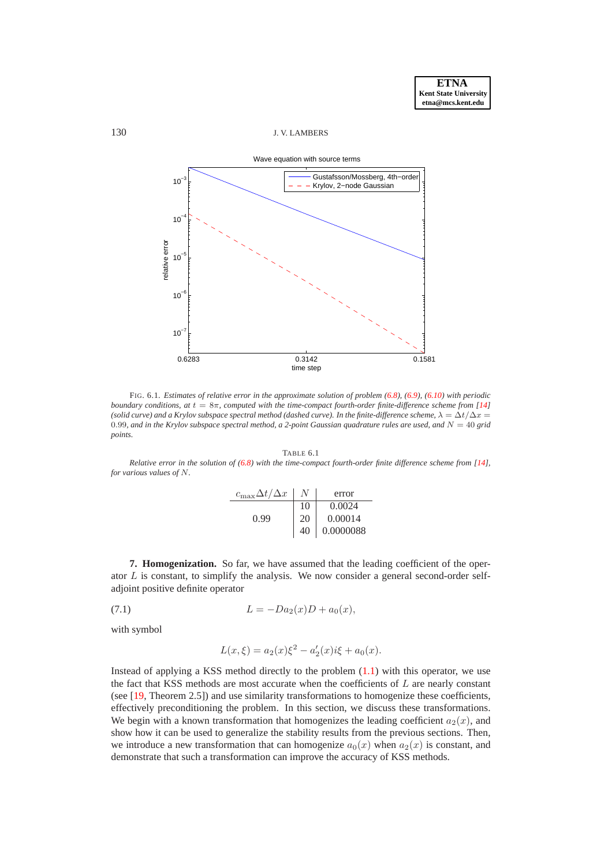## 130 J. V. LAMBERS



FIG. 6.1. *Estimates of relative error in the approximate solution of problem [\(6.8\)](#page-15-1), [\(6.9\)](#page-15-2), [\(6.10\)](#page-15-3) with periodic boundary conditions, at*  $t = 8π$ *, computed with the time-compact fourth-order finite-difference scheme from [\[14\]](#page-21-14) (solid curve) and a Krylov subspace spectral method (dashed curve). In the finite-difference scheme,*  $\lambda = \Delta t / \Delta x =$ 0.99*, and in the Krylov subspace spectral method, a 2-point Gaussian quadrature rules are used, and* N = 40 *grid points.*

TABLE 6.1

<span id="page-16-1"></span>*Relative error in the solution of [\(6.8\)](#page-15-1) with the time-compact fourth-order finite difference scheme from [\[14\]](#page-21-14), for various values of* N*.*

| $c_{\max}\Delta t/\Delta x$ |    | error     |
|-----------------------------|----|-----------|
|                             | 10 | 0.0024    |
| 0.99                        | 20 | 0.00014   |
|                             | 40 | 0.0000088 |

<span id="page-16-0"></span>**7. Homogenization.** So far, we have assumed that the leading coefficient of the operator  $L$  is constant, to simplify the analysis. We now consider a general second-order selfadjoint positive definite operator

<span id="page-16-2"></span>(7.1) 
$$
L = -Da_2(x)D + a_0(x),
$$

with symbol

$$
L(x,\xi) = a_2(x)\xi^2 - a'_2(x)i\xi + a_0(x).
$$

Instead of applying a KSS method directly to the problem  $(1.1)$  with this operator, we use the fact that KSS methods are most accurate when the coefficients of  $L$  are nearly constant (see [\[19,](#page-21-1) Theorem 2.5]) and use similarity transformations to homogenize these coefficients, effectively preconditioning the problem. In this section, we discuss these transformations. We begin with a known transformation that homogenizes the leading coefficient  $a_2(x)$ , and show how it can be used to generalize the stability results from the previous sections. Then, we introduce a new transformation that can homogenize  $a_0(x)$  when  $a_2(x)$  is constant, and demonstrate that such a transformation can improve the accuracy of KSS methods.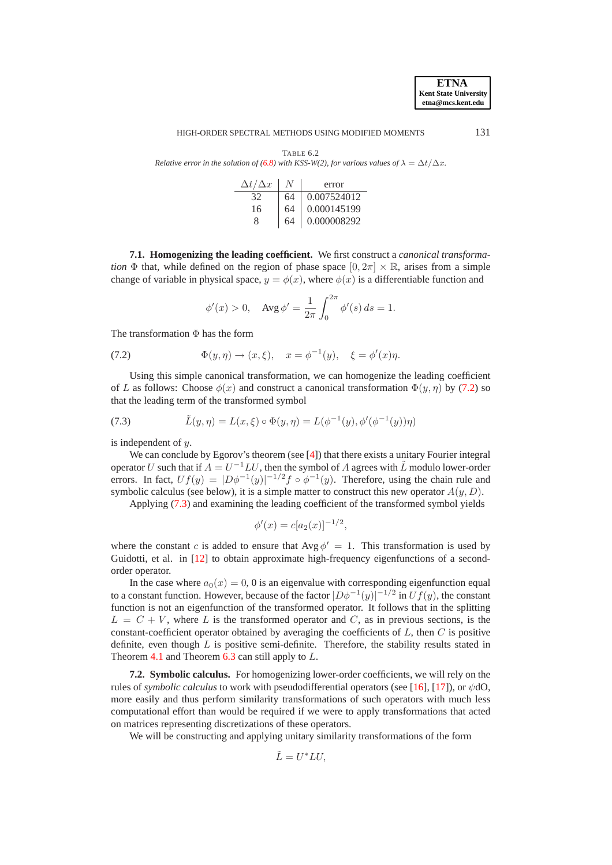HIGH-ORDER SPECTRAL METHODS USING MODIFIED MOMENTS 131

<span id="page-17-0"></span>TABLE 6.2 *Relative error in the solution of*  $(6.8)$  *with KSS-W(2), for various values of*  $\lambda = \Delta t / \Delta x$ .

| $\Delta t/\Delta x$ |    | error           |
|---------------------|----|-----------------|
|                     | 64 | 0.007524012     |
| 16                  | 64 | 0.000145199     |
|                     | 64 | $0.000008292\,$ |

**7.1. Homogenizing the leading coefficient.** We first construct a *canonical transformation*  $\Phi$  that, while defined on the region of phase space  $[0, 2\pi] \times \mathbb{R}$ , arises from a simple change of variable in physical space,  $y = \phi(x)$ , where  $\phi(x)$  is a differentiable function and

$$
\phi'(x) > 0
$$
,  $\text{Avg }\phi' = \frac{1}{2\pi} \int_0^{2\pi} \phi'(s) ds = 1$ .

The transformation  $\Phi$  has the form

<span id="page-17-1"></span>(7.2)  $\Phi(y, \eta) \to (x, \xi), \quad x = \phi^{-1}(y), \quad \xi = \phi'(x)\eta.$ 

Using this simple canonical transformation, we can homogenize the leading coefficient of L as follows: Choose  $\phi(x)$  and construct a canonical transformation  $\Phi(y, \eta)$  by [\(7.2\)](#page-17-1) so that the leading term of the transformed symbol

<span id="page-17-2"></span>(7.3) 
$$
\tilde{L}(y,\eta) = L(x,\xi) \circ \Phi(y,\eta) = L(\phi^{-1}(y), \phi'(\phi^{-1}(y))\eta)
$$

is independent of y.

We can conclude by Egorov's theorem (see [\[4\]](#page-21-15)) that there exists a unitary Fourier integral operator U such that if  $A = U^{-1}LU$ , then the symbol of A agrees with  $\tilde{L}$  modulo lower-order errors. In fact,  $Uf(y) = |D\phi^{-1}(y)|^{-1/2} f \circ \phi^{-1}(y)$ . Therefore, using the chain rule and symbolic calculus (see below), it is a simple matter to construct this new operator  $A(y, D)$ .

Applying [\(7.3\)](#page-17-2) and examining the leading coefficient of the transformed symbol yields

$$
\phi'(x) = c[a_2(x)]^{-1/2},
$$

where the constant c is added to ensure that  $Avg \phi' = 1$ . This transformation is used by Guidotti, et al. in [\[12\]](#page-21-4) to obtain approximate high-frequency eigenfunctions of a secondorder operator.

In the case where  $a_0(x) = 0$ , 0 is an eigenvalue with corresponding eigenfunction equal to a constant function. However, because of the factor  $|D\phi^{-1}(y)|^{-1/2}$  in  $Uf(y)$ , the constant function is not an eigenfunction of the transformed operator. It follows that in the splitting  $L = C + V$ , where L is the transformed operator and C, as in previous sections, is the constant-coefficient operator obtained by averaging the coefficients of  $L$ , then  $C$  is positive definite, even though  $L$  is positive semi-definite. Therefore, the stability results stated in Theorem [4.1](#page-8-1) and Theorem  $6.3$  can still apply to  $L$ .

**7.2. Symbolic calculus.** For homogenizing lower-order coefficients, we will rely on the rules of *symbolic calculus* to work with pseudodifferential operators (see [\[16\]](#page-21-16), [\[17\]](#page-21-17)), or ψdO, more easily and thus perform similarity transformations of such operators with much less computational effort than would be required if we were to apply transformations that acted on matrices representing discretizations of these operators.

We will be constructing and applying unitary similarity transformations of the form

$$
\tilde{L} = U^* L U,
$$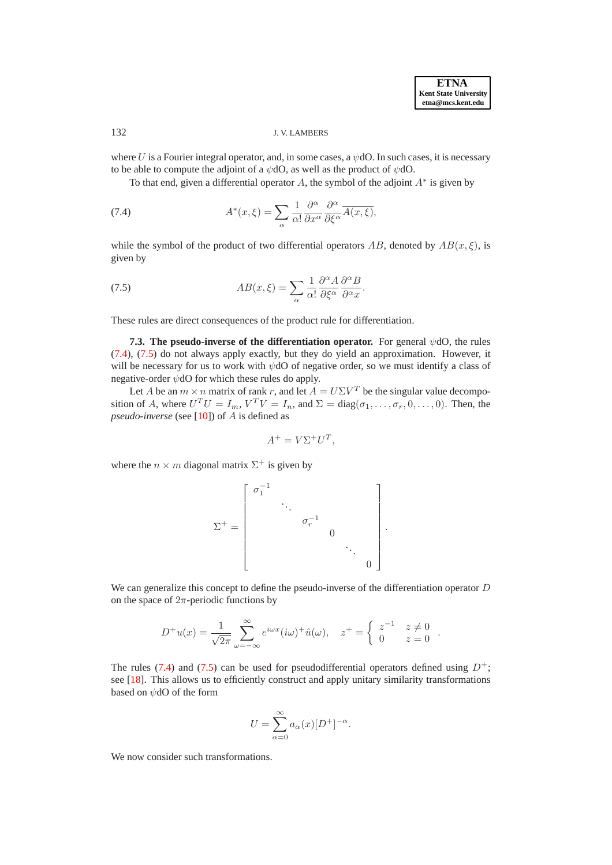# 132 J. V. LAMBERS

where U is a Fourier integral operator, and, in some cases, a  $\psi$ dO. In such cases, it is necessary to be able to compute the adjoint of a  $\psi$ dO, as well as the product of  $\psi$ dO.

<span id="page-18-0"></span>To that end, given a differential operator A, the symbol of the adjoint  $A^*$  is given by

(7.4) 
$$
A^*(x,\xi) = \sum_{\alpha} \frac{1}{\alpha!} \frac{\partial^{\alpha}}{\partial x^{\alpha}} \frac{\partial^{\alpha}}{\partial \xi^{\alpha}} \overline{A(x,\xi)},
$$

while the symbol of the product of two differential operators AB, denoted by  $AB(x,\xi)$ , is given by

<span id="page-18-1"></span>(7.5) 
$$
AB(x,\xi) = \sum_{\alpha} \frac{1}{\alpha!} \frac{\partial^{\alpha} A}{\partial \xi^{\alpha}} \frac{\partial^{\alpha} B}{\partial^{\alpha} x}.
$$

<span id="page-18-2"></span>These rules are direct consequences of the product rule for differentiation.

**7.3. The pseudo-inverse of the differentiation operator.** For general ψdO, the rules [\(7.4\)](#page-18-0), [\(7.5\)](#page-18-1) do not always apply exactly, but they do yield an approximation. However, it will be necessary for us to work with  $\psi$ dO of negative order, so we must identify a class of negative-order  $\psi$ dO for which these rules do apply.

Let A be an  $m \times n$  matrix of rank r, and let  $A = U\Sigma V^T$  be the singular value decomposition of A, where  $U^T U = I_m$ ,  $V^T V = I_n$ , and  $\Sigma = \text{diag}(\sigma_1, \dots, \sigma_r, 0, \dots, 0)$ . Then, the *pseudo-inverse* (see [\[10\]](#page-21-18)) of A is defined as

$$
A^+ = V\Sigma^+ U^T,
$$

where the  $n \times m$  diagonal matrix  $\Sigma^+$  is given by

$$
\Sigma^{+} = \left[ \begin{array}{cccc} \sigma_1^{-1} & & & & \\ & \ddots & & & \\ & & \sigma_r^{-1} & & \\ & & & 0 & \\ & & & & \ddots \\ & & & & & 0 \end{array} \right]
$$

.

We can generalize this concept to define the pseudo-inverse of the differentiation operator D on the space of  $2\pi$ -periodic functions by

$$
D^{+}u(x) = \frac{1}{\sqrt{2\pi}} \sum_{\omega=-\infty}^{\infty} e^{i\omega x} (i\omega)^{+} \hat{u}(\omega), \quad z^{+} = \begin{cases} z^{-1} & z \neq 0 \\ 0 & z = 0 \end{cases}.
$$

The rules [\(7.4\)](#page-18-0) and [\(7.5\)](#page-18-1) can be used for pseudodifferential operators defined using  $D^+$ ; see [\[18\]](#page-21-0). This allows us to efficiently construct and apply unitary similarity transformations based on ψdO of the form

$$
U = \sum_{\alpha=0}^{\infty} a_{\alpha}(x) [D^+]^{-\alpha}.
$$

We now consider such transformations.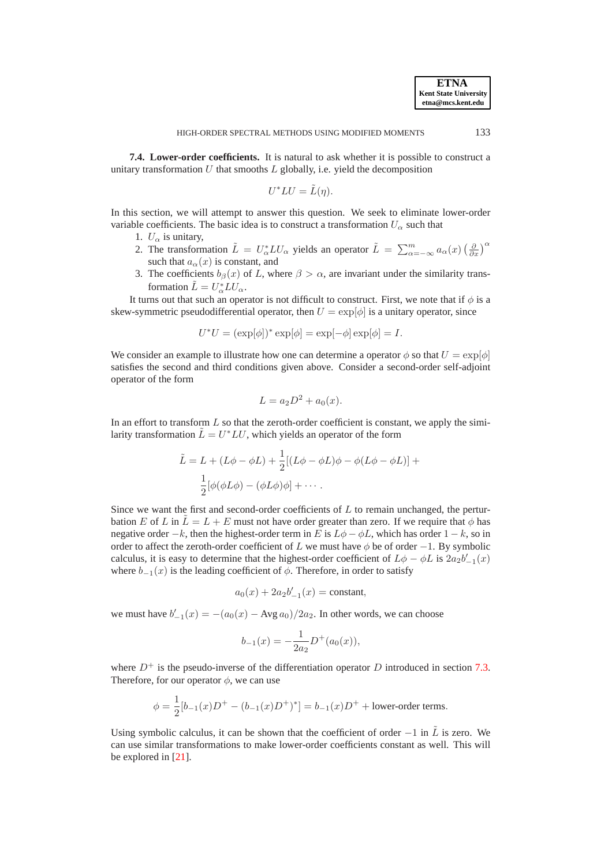**7.4. Lower-order coefficients.** It is natural to ask whether it is possible to construct a unitary transformation  $U$  that smooths  $L$  globally, i.e. yield the decomposition

$$
U^*LU = \tilde{L}(\eta).
$$

In this section, we will attempt to answer this question. We seek to eliminate lower-order variable coefficients. The basic idea is to construct a transformation  $U_{\alpha}$  such that

- 1.  $U_{\alpha}$  is unitary,
- 2. The transformation  $\tilde{L} = U_{\alpha}^* L U_{\alpha}$  yields an operator  $\tilde{L} = \sum_{\alpha=-\infty}^m a_{\alpha}(x) \left(\frac{\partial}{\partial x}\right)^{\alpha}$ such that  $a_{\alpha}(x)$  is constant, and
- 3. The coefficients  $b_\beta(x)$  of L, where  $\beta > \alpha$ , are invariant under the similarity transformation  $\tilde{L} = U_{\alpha}^* L U_{\alpha}$ .

It turns out that such an operator is not difficult to construct. First, we note that if  $\phi$  is a skew-symmetric pseudodifferential operator, then  $U = \exp[\phi]$  is a unitary operator, since

$$
U^*U = (\exp[\phi])^* \exp[\phi] = \exp[-\phi] \exp[\phi] = I.
$$

We consider an example to illustrate how one can determine a operator  $\phi$  so that  $U = \exp[\phi]$ satisfies the second and third conditions given above. Consider a second-order self-adjoint operator of the form

$$
L = a_2 D^2 + a_0(x).
$$

In an effort to transform  $L$  so that the zeroth-order coefficient is constant, we apply the similarity transformation  $\tilde{L} = U^* L U$ , which yields an operator of the form

$$
\tilde{L} = L + (L\phi - \phi L) + \frac{1}{2}[(L\phi - \phi L)\phi - \phi(L\phi - \phi L)] +
$$

$$
\frac{1}{2}[\phi(\phi L\phi) - (\phi L\phi)\phi] + \cdots
$$

Since we want the first and second-order coefficients of  $L$  to remain unchanged, the perturbation E of L in  $\tilde{L} = L + E$  must not have order greater than zero. If we require that  $\phi$  has negative order  $-k$ , then the highest-order term in E is  $L\phi - \phi L$ , which has order  $1 - k$ , so in order to affect the zeroth-order coefficient of L we must have  $\phi$  be of order  $-1$ . By symbolic calculus, it is easy to determine that the highest-order coefficient of  $L\phi - \phi L$  is  $2a_2b'_{-1}(x)$ where  $b_{-1}(x)$  is the leading coefficient of  $\phi$ . Therefore, in order to satisfy

$$
a_0(x) + 2a_2b'_{-1}(x) = \text{constant},
$$

we must have  $b'_{-1}(x) = -(a_0(x) - \text{Avg } a_0)/2a_2$ . In other words, we can choose

$$
b_{-1}(x) = -\frac{1}{2a_2}D^+(a_0(x)),
$$

where  $D^+$  is the pseudo-inverse of the differentiation operator D introduced in section [7.3.](#page-18-2) Therefore, for our operator  $\phi$ , we can use

$$
\phi = \frac{1}{2}[b_{-1}(x)D^{+} - (b_{-1}(x)D^{+})^{*}] = b_{-1}(x)D^{+} + \text{lower-order terms}.
$$

Using symbolic calculus, it can be shown that the coefficient of order  $-1$  in  $\tilde{L}$  is zero. We can use similar transformations to make lower-order coefficients constant as well. This will be explored in [\[21\]](#page-21-19).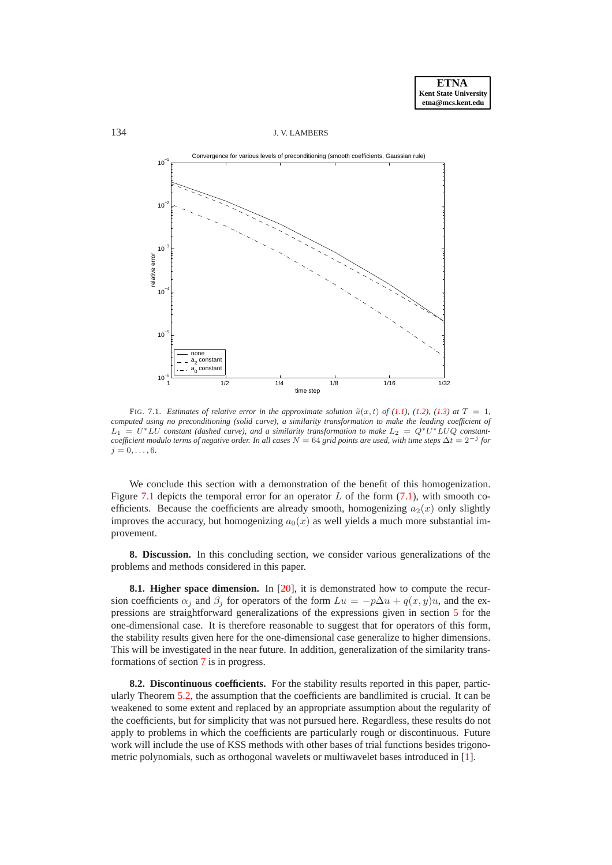#### 134 J. V. LAMBERS



<span id="page-20-1"></span>FIG. 7.1. *Estimates of relative error in the approximate solution*  $\tilde{u}(x, t)$  *of [\(1.1\)](#page-0-0), [\(1.2\)](#page-0-1), [\(1.3\)](#page-0-2) at*  $T = 1$ *, computed using no preconditioning (solid curve), a similarity transformation to make the leading coefficient of*  $L_1 = U^*LU$  constant (dashed curve), and a similarity transformation to make  $L_2 = Q^*U^*LUQ$  constant*coefficient modulo terms of negative order. In all cases* N = 64 *grid points are used, with time steps* ∆t = 2−<sup>j</sup> *for*  $i = 0, \ldots, 6$ .

We conclude this section with a demonstration of the benefit of this homogenization. Figure [7.1](#page-20-1) depicts the temporal error for an operator  $L$  of the form [\(7.1\)](#page-16-2), with smooth coefficients. Because the coefficients are already smooth, homogenizing  $a_2(x)$  only slightly improves the accuracy, but homogenizing  $a_0(x)$  as well yields a much more substantial improvement.

<span id="page-20-0"></span>**8. Discussion.** In this concluding section, we consider various generalizations of the problems and methods considered in this paper.

**8.1. Higher space dimension.** In [\[20\]](#page-21-10), it is demonstrated how to compute the recursion coefficients  $\alpha_i$  and  $\beta_i$  for operators of the form  $Lu = -p\Delta u + q(x, y)u$ , and the expressions are straightforward generalizations of the expressions given in section [5](#page-10-0) for the one-dimensional case. It is therefore reasonable to suggest that for operators of this form, the stability results given here for the one-dimensional case generalize to higher dimensions. This will be investigated in the near future. In addition, generalization of the similarity transformations of section [7](#page-16-0) is in progress.

**8.2. Discontinuous coefficients.** For the stability results reported in this paper, particularly Theorem [5.2,](#page-11-3) the assumption that the coefficients are bandlimited is crucial. It can be weakened to some extent and replaced by an appropriate assumption about the regularity of the coefficients, but for simplicity that was not pursued here. Regardless, these results do not apply to problems in which the coefficients are particularly rough or discontinuous. Future work will include the use of KSS methods with other bases of trial functions besides trigonometric polynomials, such as orthogonal wavelets or multiwavelet bases introduced in [\[1\]](#page-21-20).